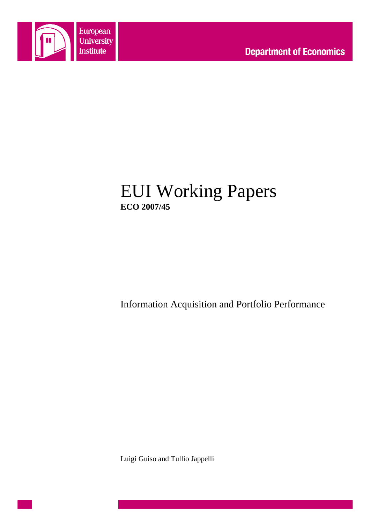

# EUI Working Papers **ECO 2007/45**

Information Acquisition and Portfolio Performance

Luigi Guiso and Tullio Jappelli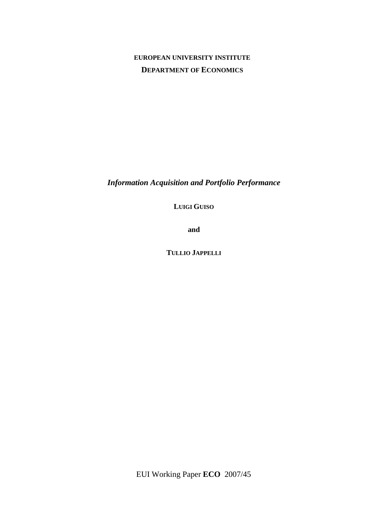# **EUROPEAN UNIVERSITY INSTITUTE DEPARTMENT OF ECONOMICS**

*Information Acquisition and Portfolio Performance* 

**LUIGI GUISO**

**and** 

**TULLIO JAPPELLI**

EUI Working Paper **ECO** 2007/45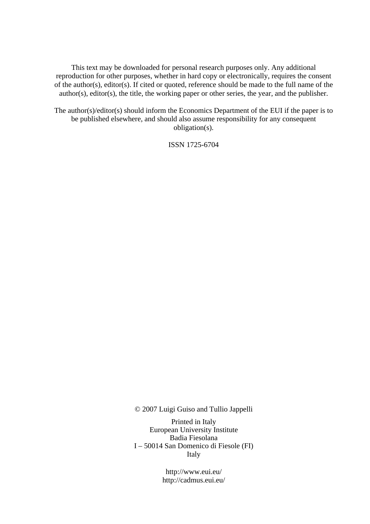This text may be downloaded for personal research purposes only. Any additional reproduction for other purposes, whether in hard copy or electronically, requires the consent of the author(s), editor(s). If cited or quoted, reference should be made to the full name of the author(s), editor(s), the title, the working paper or other series, the year, and the publisher.

The author(s)/editor(s) should inform the Economics Department of the EUI if the paper is to be published elsewhere, and should also assume responsibility for any consequent obligation(s).

ISSN 1725-6704

© 2007 Luigi Guiso and Tullio Jappelli

Printed in Italy European University Institute Badia Fiesolana I – 50014 San Domenico di Fiesole (FI) Italy

> http://www.eui.eu/ http://cadmus.eui.eu/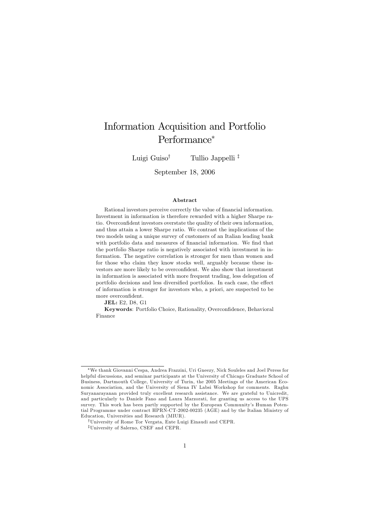# Information Acquisition and Portfolio Performance\*

Tullio Jappelli<sup>‡</sup> Luigi Guiso<sup>†</sup>

September 18, 2006

### **A** bstract

Rational investors perceive correctly the value of financial information. Investment in information is therefore rewarded with a higher Sharpe ratio. Overconfident investors overstate the quality of their own information, and thus attain a lower Sharpe ratio. We contrast the implications of the two models using a unique survey of customers of an Italian leading bank with portfolio data and measures of financial information. We find that the portfolio Sharpe ratio is negatively associated with investment in information. The negative correlation is stronger for men than women and for those who claim they know stocks well, arguably because these investors are more likely to be overconfident. We also show that investment in information is associated with more frequent trading, less delegation of portfolio decisions and less diversified portfolios. In each case, the effect of information is stronger for investors who, a priori, are suspected to be more overconfident.

**JEL:** E2, D8, G1

Keywords: Portfolio Choice, Rationality, Overconfidence, Behavioral Finance

<sup>\*</sup>We thank Giovanni Cespa, Andrea Frazzini, Uri Gneezy, Nick Souleles and Joel Peress for helpful discussions, and seminar participants at the University of Chicago Graduate School of Business, Dartmouth College, University of Turin, the 2005 Meetings of the American Economic Association, and the University of Siena IV Labsi Workshop for comments. Raghu Survanaravanan provided truly excellent research assistance. We are grateful to Unicredit. and particularly to Daniele Fano and Laura Marzorati, for granting us access to the UPS survey. This work has been partly supported by the European Community's Human Potential Programme under contract HPRN-CT-2002-00235 (AGE) and by the Italian Ministry of Education, Universities and Research (MIUR).

<sup>&</sup>lt;sup>†</sup>University of Rome Tor Vergata, Ente Luigi Einaudi and CEPR.

<sup>&</sup>lt;sup>‡</sup>University of Salerno, CSEF and CEPR.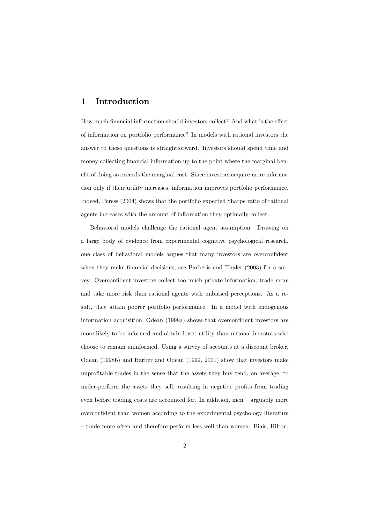#### Introduction 1

How much financial information should investors collect? And what is the effect of information on portfolio performance? In models with rational investors the answer to these questions is straightforward. Investors should spend time and money collecting financial information up to the point where the marginal benefit of doing so exceeds the marginal cost. Since investors acquire more information only if their utility increases, information improves portfolio performance. Indeed, Peress (2004) shows that the portfolio expected Sharpe ratio of rational agents increases with the amount of information they optimally collect.

Behavioral models challenge the rational agent assumption. Drawing on a large body of evidence from experimental cognitive psychological research, one class of behavioral models argues that many investors are overconfident when they make financial decisions, see Barberis and Thaler  $(2003)$  for a survey. Overconfident investors collect too much private information, trade more and take more risk than rational agents with unbiased perceptions. As a result, they attain poorer portfolio performance. In a model with endogenous information acquisition, Odean (1998a) shows that overconfident investors are more likely to be informed and obtain lower utility than rational investors who choose to remain uninformed. Using a survey of accounts at a discount broker, Odean (1998b) and Barber and Odean (1999, 2001) show that investors make unprofitable trades in the sense that the assets they buy tend, on average, to under-perform the assets they sell, resulting in negative profits from trading even before trading costs are accounted for. In addition, men  $-$  arguably more overconfident than women according to the experimental psychology literature - trade more often and therefore perform less well than women. Biais, Hilton,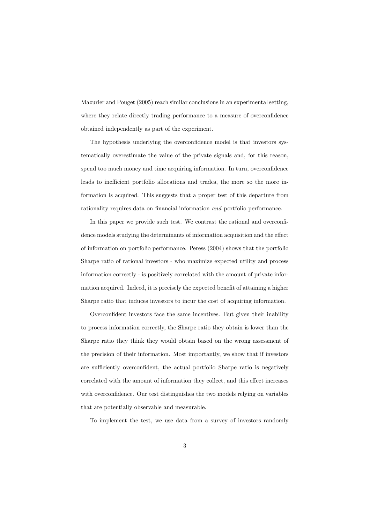Mazurier and Pouget (2005) reach similar conclusions in an experimental setting, where they relate directly trading performance to a measure of overconfidence obtained independently as part of the experiment.

The hypothesis underlying the overconfidence model is that investors systematically overestimate the value of the private signals and, for this reason, spend too much money and time acquiring information. In turn, overconfidence leads to inefficient portfolio allocations and trades, the more so the more information is acquired. This suggests that a proper test of this departure from rationality requires data on financial information *and* portfolio performance.

In this paper we provide such test. We contrast the rational and overconfidence models studying the determinants of information acquisition and the effect of information on portfolio performance. Peress (2004) shows that the portfolio Sharpe ratio of rational investors - who maximize expected utility and process information correctly - is positively correlated with the amount of private information acquired. Indeed, it is precisely the expected benefit of attaining a higher Sharpe ratio that induces investors to incur the cost of acquiring information.

Overconfident investors face the same incentives. But given their inability to process information correctly, the Sharpe ratio they obtain is lower than the Sharpe ratio they think they would obtain based on the wrong assessment of the precision of their information. Most importantly, we show that if investors are sufficiently overconfident, the actual portfolio Sharpe ratio is negatively correlated with the amount of information they collect, and this effect increases with overconfidence. Our test distinguishes the two models relying on variables that are potentially observable and measurable.

To implement the test, we use data from a survey of investors randomly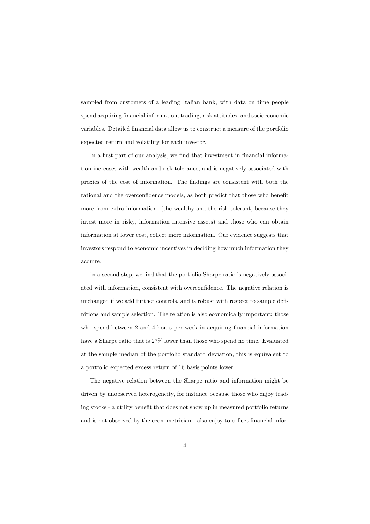sampled from customers of a leading Italian bank, with data on time people spend acquiring financial information, trading, risk attitudes, and socioeconomic variables. Detailed financial data allow us to construct a measure of the portfolio expected return and volatility for each investor.

In a first part of our analysis, we find that investment in financial information increases with wealth and risk tolerance, and is negatively associated with proxies of the cost of information. The findings are consistent with both the rational and the overconfidence models, as both predict that those who benefit more from extra information (the wealthy and the risk tolerant, because they invest more in risky, information intensive assets) and those who can obtain information at lower cost, collect more information. Our evidence suggests that investors respond to economic incentives in deciding how much information they acquire.

In a second step, we find that the portfolio Sharpe ratio is negatively associated with information, consistent with overconfidence. The negative relation is unchanged if we add further controls, and is robust with respect to sample definitions and sample selection. The relation is also economically important: those who spend between 2 and 4 hours per week in acquiring financial information have a Sharpe ratio that is 27% lower than those who spend no time. Evaluated at the sample median of the portfolio standard deviation, this is equivalent to a portfolio expected excess return of 16 basis points lower.

The negative relation between the Sharpe ratio and information might be driven by unobserved heterogeneity, for instance because those who enjoy trading stocks - a utility benefit that does not show up in measured portfolio returns and is not observed by the econometrician - also enjoy to collect financial infor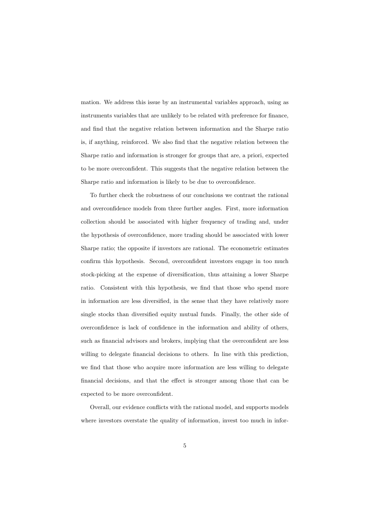mation. We address this issue by an instrumental variables approach, using as instruments variables that are unlikely to be related with preference for finance, and find that the negative relation between information and the Sharpe ratio is, if anything, reinforced. We also find that the negative relation between the Sharpe ratio and information is stronger for groups that are, a priori, expected to be more overconfident. This suggests that the negative relation between the Sharpe ratio and information is likely to be due to overconfidence.

To further check the robustness of our conclusions we contrast the rational and overconfidence models from three further angles. First, more information collection should be associated with higher frequency of trading and, under the hypothesis of overconfidence, more trading should be associated with lower Sharpe ratio; the opposite if investors are rational. The econometric estimates confirm this hypothesis. Second, overconfident investors engage in too much stock-picking at the expense of diversification, thus attaining a lower Sharpe ratio. Consistent with this hypothesis, we find that those who spend more in information are less diversified, in the sense that they have relatively more single stocks than diversified equity mutual funds. Finally, the other side of overconfidence is lack of confidence in the information and ability of others, such as financial advisors and brokers, implying that the overconfident are less willing to delegate financial decisions to others. In line with this prediction, we find that those who acquire more information are less willing to delegate financial decisions, and that the effect is stronger among those that can be expected to be more overconfident.

Overall, our evidence conflicts with the rational model, and supports models where investors overstate the quality of information, invest too much in infor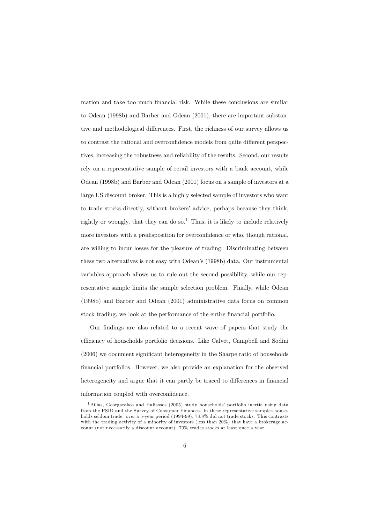mation and take too much financial risk. While these conclusions are similar to Odean (1998b) and Barber and Odean (2001), there are important substantive and methodological differences. First, the richness of our survey allows us to contrast the rational and overconfidence models from quite different perspectives, increasing the robustness and reliability of the results. Second, our results rely on a representative sample of retail investors with a bank account, while Odean (1998b) and Barber and Odean (2001) focus on a sample of investors at a large US discount broker. This is a highly selected sample of investors who want to trade stocks directly, without brokers' advice, perhaps because they think, rightly or wrongly, that they can do so.<sup>1</sup> Thus, it is likely to include relatively more investors with a predisposition for overconfidence or who, though rational, are willing to incur losses for the pleasure of trading. Discriminating between these two alternatives is not easy with Odean's (1998b) data. Our instrumental variables approach allows us to rule out the second possibility, while our representative sample limits the sample selection problem. Finally, while Odean (1998b) and Barber and Odean (2001) administrative data focus on common stock trading, we look at the performance of the entire financial portfolio.

Our findings are also related to a recent wave of papers that study the efficiency of households portfolio decisions. Like Calvet, Campbell and Sodini (2006) we document significant heterogeneity in the Sharpe ratio of households financial portfolios. However, we also provide an explanation for the observed heterogeneity and argue that it can partly be traced to differences in financial information coupled with overconfidence.

<sup>&</sup>lt;sup>1</sup>Bilias, Georgarakos and Haliassos (2005) study households' portfolio inertia using data from the PSID and the Survey of Consumer Finances. In these representative samples households seldom trade: over a 5-year period (1994-99), 73.8% did not trade stocks. This contrasts with the trading activity of a minority of investors (less than  $20\%$ ) that have a brokerage account (not necessarily a discount account): 70% trades stocks at least once a year.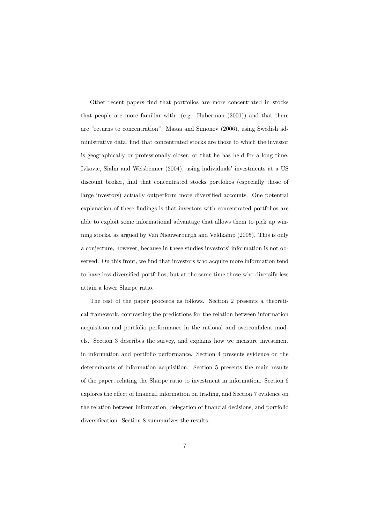Other recent papers find that portfolios are more concentrated in stocks that people are more familiar with  $(e.g. Huberman (2001))$  and that there are "returns to concentration". Massa and Simonov (2006), using Swedish administrative data, find that concentrated stocks are those to which the investor is geographically or professionally closer, or that he has held for a long time. Ivkovic, Sialm and Weisbenner (2004), using individuals' investments at a US discount broker, find that concentrated stocks portfolios (especially those of large investors) actually outperform more diversified accounts. One potential explanation of these findings is that investors with concentrated portfolios are able to exploit some informational advantage that allows them to pick up winning stocks, as argued by Van Nieuwerburgh and Veldkamp (2005). This is only a conjecture, however, because in these studies investors' information is not observed. On this front, we find that investors who acquire more information tend to have less diversified portfolios; but at the same time those who diversify less attain a lower Sharpe ratio.

The rest of the paper proceeds as follows. Section 2 presents a theoretical framework, contrasting the predictions for the relation between information acquisition and portfolio performance in the rational and overconfident models. Section 3 describes the survey, and explains how we measure investment in information and portfolio performance. Section 4 presents evidence on the determinants of information acquisition. Section 5 presents the main results of the paper, relating the Sharpe ratio to investment in information. Section 6 explores the effect of financial information on trading, and Section 7 evidence on the relation between information, delegation of financial decisions, and portfolio diversification. Section 8 summarizes the results.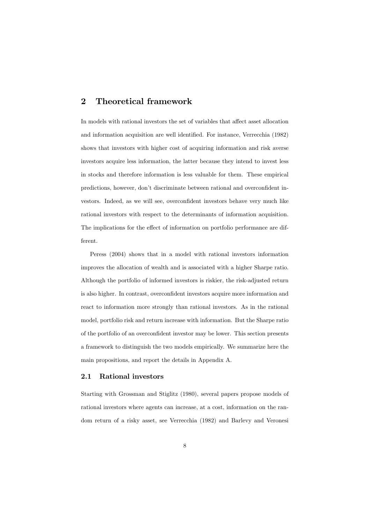#### **Theoretical framework**  $\overline{2}$

In models with rational investors the set of variables that affect asset allocation and information acquisition are well identified. For instance, Verrecchia (1982) shows that investors with higher cost of acquiring information and risk averse investors acquire less information, the latter because they intend to invest less in stocks and therefore information is less valuable for them. These empirical predictions, however, don't discriminate between rational and overconfident investors. Indeed, as we will see, overconfident investors behave very much like rational investors with respect to the determinants of information acquisition. The implications for the effect of information on portfolio performance are different.

Peress (2004) shows that in a model with rational investors information improves the allocation of wealth and is associated with a higher Sharpe ratio. Although the portfolio of informed investors is riskier, the risk-adjusted return is also higher. In contrast, overconfident investors acquire more information and react to information more strongly than rational investors. As in the rational model, portfolio risk and return increase with information. But the Sharpe ratio of the portfolio of an overconfident investor may be lower. This section presents a framework to distinguish the two models empirically. We summarize here the main propositions, and report the details in Appendix A.

#### Rational investors  $2.1$

Starting with Grossman and Stiglitz (1980), several papers propose models of rational investors where agents can increase, at a cost, information on the random return of a risky asset, see Verrecchia (1982) and Barlevy and Veronesi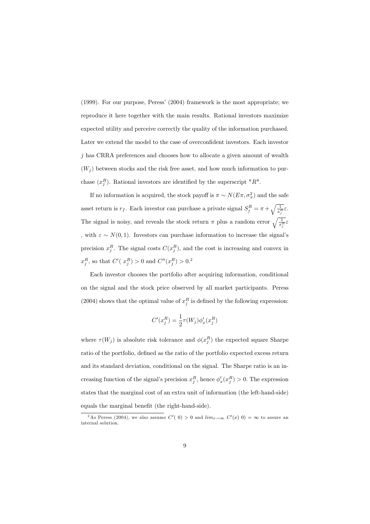(1999). For our purpose, Peress' (2004) framework is the most appropriate; we reproduce it here together with the main results. Rational investors maximize expected utility and perceive correctly the quality of the information purchased. Later we extend the model to the case of overconfident investors. Each investor  $\dot{\gamma}$  has CRRA preferences and chooses how to allocate a given amount of wealth  $(W_i)$  between stocks and the risk free asset, and how much information to purchase  $(x_j^R)$ . Rational investors are identified by the superscript "R".

If no information is acquired, the stock payoff is  $\pi \sim N(E\pi, \sigma_{\pi}^2)$  and the safe asset return is  $r_f.$  Each investor can purchase a private signal  $S^R_j = \pi + \sqrt{\frac{1}{x_j^R}} \varepsilon.$ The signal is noisy, and reveals the stock return  $\pi$  plus a random error  $\sqrt{\frac{1}{x_i^R}}\varepsilon$ , with  $\varepsilon \sim N(0, 1)$ . Investors can purchase information to increase the signal's precision  $x_j^R$ . The signal costs  $C(x_j^R)$ , and the cost is increasing and convex in  $x_j^R,$  so that  $C'(\ x_j^R) > 0$  and  $C''(x_j^R) > 0.2$ 

Each investor chooses the portfolio after acquiring information, conditional on the signal and the stock price observed by all market participants. Peress (2004) shows that the optimal value of  $x_j^R$  is defined by the following expression:

$$
C'(x_j^R) = \frac{1}{2}\tau(W_j)\phi'_x(x_j^R)
$$

where  $\tau(W_j)$  is absolute risk tolerance and  $\phi(x_j^R)$  the expected square Sharpe ratio of the portfolio, defined as the ratio of the portfolio expected excess return and its standard deviation, conditional on the signal. The Sharpe ratio is an increasing function of the signal's precision  $x_j^R$ , hence  $\phi'_x(x_j^R) > 0$ . The expression states that the marginal cost of an extra unit of information (the left-hand-side) equals the marginal benefit (the right-hand-side).

<sup>&</sup>lt;sup>2</sup>As Peress (2004), we also assume C'(0) > 0 and  $\lim_{x\to\infty} C'(x)$  0) =  $\infty$  to assure an internal solution.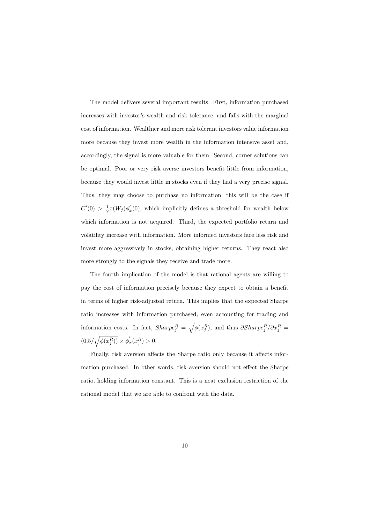The model delivers several important results. First, information purchased increases with investor's wealth and risk tolerance, and falls with the marginal cost of information. Wealthier and more risk tolerant investors value information more because they invest more wealth in the information intensive asset and, accordingly, the signal is more valuable for them. Second, corner solutions can be optimal. Poor or very risk averse investors benefit little from information, because they would invest little in stocks even if they had a very precise signal. Thus, they may choose to purchase no information; this will be the case if  $C'(0) > \frac{1}{2}\tau(W_j)\phi'_x(0)$ , which implicitly defines a threshold for wealth below which information is not acquired. Third, the expected portfolio return and volatility increase with information. More informed investors face less risk and invest more aggressively in stocks, obtaining higher returns. They react also more strongly to the signals they receive and trade more.

The fourth implication of the model is that rational agents are willing to pay the cost of information precisely because they expect to obtain a benefit in terms of higher risk-adjusted return. This implies that the expected Sharpe ratio increases with information purchased, even accounting for trading and information costs. In fact,  $Sharpe_j^R = \sqrt{\phi(x_j^R)}$ , and thus  $\partial Sharpe_j^R / \partial x_j^R =$  $(0.5/\sqrt{\phi(x_j^R))}\times \phi_x^{'}(x_j^R)>0.$ 

Finally, risk aversion affects the Sharpe ratio only because it affects information purchased. In other words, risk aversion should not effect the Sharpe ratio, holding information constant. This is a neat exclusion restriction of the rational model that we are able to confront with the data.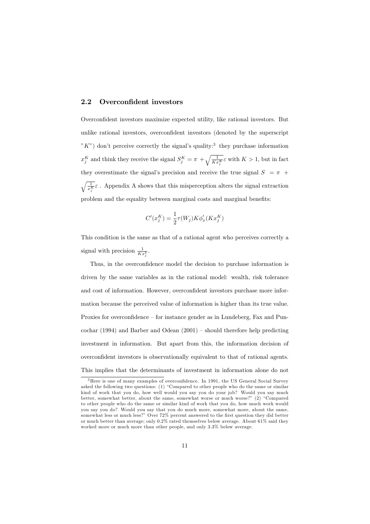#### Overconfident investors  $2.2$

Overconfident investors maximize expected utility, like rational investors. But unlike rational investors, overconfident investors (denoted by the superscript " $K$ ") don't perceive correctly the signal's quality:<sup>3</sup> they purchase information  $x_j^K$  and think they receive the signal  $S_j^K = \pi + \sqrt{\frac{1}{Kx_j^K}}\varepsilon$  with  $K > 1$ , but in fact they overestimate the signal's precision and receive the true signal  $S = \pi$  +  $\sqrt{\frac{1}{x^K}}\varepsilon$ . Appendix A shows that this misperception alters the signal extraction problem and the equality between marginal costs and marginal benefits:

$$
C'(x^K_j) = \frac{1}{2}\tau(W_j)K\phi'_x(Kx^K_j)
$$

This condition is the same as that of a rational agent who perceives correctly a signal with precision  $\frac{1}{Kx_i^k}$ .

Thus, in the overconfidence model the decision to purchase information is driven by the same variables as in the rational model: wealth, risk tolerance and cost of information. However, overconfident investors purchase more information because the perceived value of information is higher than its true value. Proxies for overconfidence – for instance gender as in Lundeberg, Fax and Puncochar (1994) and Barber and Odean  $(2001)$  – should therefore help predicting investment in information. But apart from this, the information decision of overconfident investors is observationally equivalent to that of rational agents. This implies that the determinants of investment in information alone do not

 $3$  Here is one of many examples of overconfidence. In 1991, the US General Social Survey asked the following two questions: (1) "Compared to other people who do the same or similar kind of work that you do, how well would you say you do your job? Would you say much better, somewhat better, about the same, somewhat worse or much worse?" (2) "Compared to other people who do the same or similar kind of work that you do, how much work would you say you do? Would you say that you do much more, somewhat more, about the same, somewhat less or much less?" Over 72% percent answered to the first question they did better or much better than average; only  $0.2\%$  rated themselves below average. About 61% said they worked more or much more than other people, and only 3.3% below average.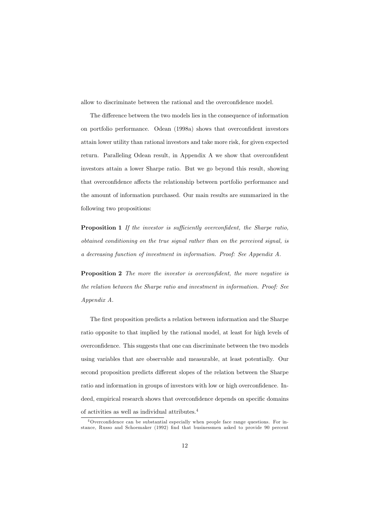allow to discriminate between the rational and the overconfidence model.

The difference between the two models lies in the consequence of information on portfolio performance. Odean (1998a) shows that overconfident investors attain lower utility than rational investors and take more risk, for given expected return. Paralleling Odean result, in Appendix A we show that overconfident investors attain a lower Sharpe ratio. But we go beyond this result, showing that overconfidence affects the relationship between portfolio performance and the amount of information purchased. Our main results are summarized in the following two propositions:

**Proposition 1** If the investor is sufficiently overconfident, the Sharpe ratio, obtained conditioning on the true signal rather than on the perceived signal, is a decreasing function of investment in information. Proof: See Appendix A.

**Proposition 2** The more the investor is overconfident, the more negative is the relation between the Sharpe ratio and investment in information. Proof: See  $Appendix A$ .

The first proposition predicts a relation between information and the Sharpe ratio opposite to that implied by the rational model, at least for high levels of overconfidence. This suggests that one can discriminate between the two models using variables that are observable and measurable, at least potentially. Our second proposition predicts different slopes of the relation between the Sharpe ratio and information in groups of investors with low or high overconfidence. Indeed, empirical research shows that overconfidence depends on specific domains of activities as well as individual attributes.  $\!4$ 

 $4$  Overconfidence can be substantial especially when people face range questions. For instance, Russo and Schoemaker (1992) find that businessmen asked to provide 90 percent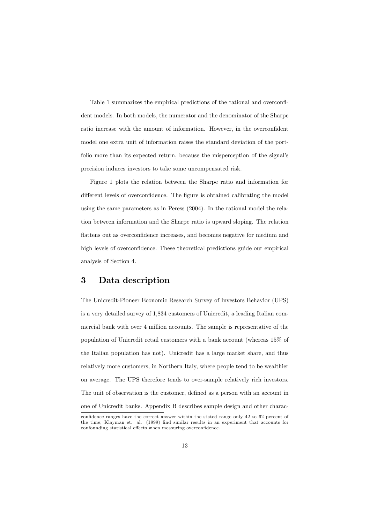Table 1 summarizes the empirical predictions of the rational and overconfident models. In both models, the numerator and the denominator of the Sharpe ratio increase with the amount of information. However, in the overconfident model one extra unit of information raises the standard deviation of the portfolio more than its expected return, because the misperception of the signal's precision induces investors to take some uncompensated risk.

Figure 1 plots the relation between the Sharpe ratio and information for different levels of overconfidence. The figure is obtained calibrating the model using the same parameters as in Peress  $(2004)$ . In the rational model the relation between information and the Sharpe ratio is upward sloping. The relation flattens out as overconfidence increases, and becomes negative for medium and high levels of overconfidence. These theoretical predictions guide our empirical analysis of Section 4.

#### 3 Data description

The Unicredit-Pioneer Economic Research Survey of Investors Behavior (UPS) is a very detailed survey of 1,834 customers of Unicredit, a leading Italian commercial bank with over 4 million accounts. The sample is representative of the population of Unicredit retail customers with a bank account (whereas 15% of the Italian population has not). Unicredit has a large market share, and thus relatively more customers, in Northern Italy, where people tend to be wealthier on average. The UPS therefore tends to over-sample relatively rich investors. The unit of observation is the customer, defined as a person with an account in one of Unicredit banks. Appendix B describes sample design and other charac-

confidence ranges have the correct answer within the stated range only 42 to 62 percent of the time; Klayman et. al. (1999) find similar results in an experiment that accounts for confounding statistical effects when measuring overconfidence.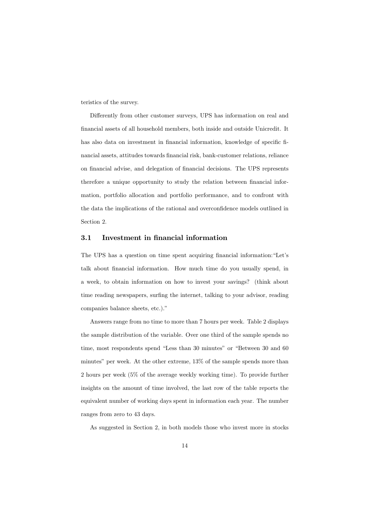teristics of the survey.

Differently from other customer surveys, UPS has information on real and financial assets of all household members, both inside and outside Unicredit. It has also data on investment in financial information, knowledge of specific financial assets, attitudes towards financial risk, bank-customer relations, reliance on financial advise, and delegation of financial decisions. The UPS represents therefore a unique opportunity to study the relation between financial information, portfolio allocation and portfolio performance, and to confront with the data the implications of the rational and overconfidence models outlined in Section 2.

#### $3.1$ Investment in financial information

The UPS has a question on time spent acquiring financial information: "Let's talk about financial information. How much time do you usually spend, in a week, to obtain information on how to invest your savings? (think about time reading newspapers, surfing the internet, talking to your advisor, reading companies balance sheets, etc.)."

Answers range from no time to more than 7 hours per week. Table 2 displays the sample distribution of the variable. Over one third of the sample spends no time, most respondents spend "Less than 30 minutes" or "Between 30 and 60 minutes" per week. At the other extreme, 13% of the sample spends more than 2 hours per week  $(5\%$  of the average weekly working time). To provide further insights on the amount of time involved, the last row of the table reports the equivalent number of working days spent in information each year. The number ranges from zero to 43 days.

As suggested in Section 2, in both models those who invest more in stocks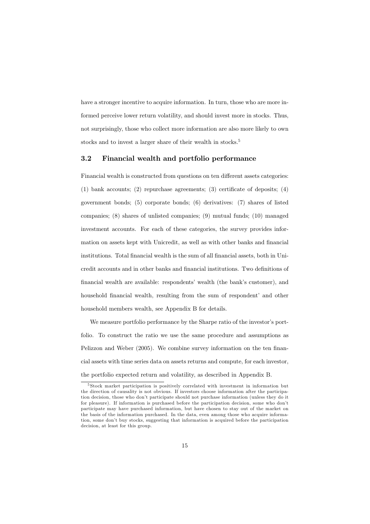have a stronger incentive to acquire information. In turn, those who are more informed perceive lower return volatility, and should invest more in stocks. Thus, not surprisingly, those who collect more information are also more likely to own stocks and to invest a larger share of their wealth in stocks.<sup>5</sup>

#### $3.2\,$ Financial wealth and portfolio performance

Financial wealth is constructed from questions on ten different assets categories:  $(1)$  bank accounts;  $(2)$  repurchase agreements;  $(3)$  certificate of deposits;  $(4)$ government bonds; (5) corporate bonds; (6) derivatives: (7) shares of listed companies;  $(8)$  shares of unlisted companies;  $(9)$  mutual funds;  $(10)$  managed investment accounts. For each of these categories, the survey provides information on assets kept with Unicredit, as well as with other banks and financial institutions. Total financial wealth is the sum of all financial assets, both in Unicredit accounts and in other banks and financial institutions. Two definitions of financial wealth are available: respondents' wealth (the bank's customer), and household financial wealth, resulting from the sum of respondent' and other household members wealth, see Appendix B for details.

We measure portfolio performance by the Sharpe ratio of the investor's portfolio. To construct the ratio we use the same procedure and assumptions as Pelizzon and Weber (2005). We combine survey information on the ten financial assets with time series data on assets returns and compute, for each investor, the portfolio expected return and volatility, as described in Appendix B.

 $5$ Stock market participation is positively correlated with investment in information but the direction of causality is not obvious. If investors choose information after the participation decision, those who don't participate should not purchase information (unless they do it for pleasure). If information is purchased before the participation decision, some who don't participate may have purchased information, but have chosen to stay out of the market on the basis of the information purchased. In the data, even among those who acquire information, some don't buy stocks, suggesting that information is acquired before the participation decision, at least for this group.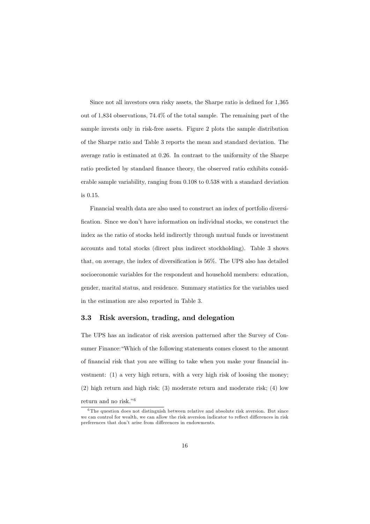Since not all investors own risky assets, the Sharpe ratio is defined for 1,365 out of 1,834 observations, 74.4% of the total sample. The remaining part of the sample invests only in risk-free assets. Figure 2 plots the sample distribution of the Sharpe ratio and Table 3 reports the mean and standard deviation. The average ratio is estimated at 0.26. In contrast to the uniformity of the Sharpe ratio predicted by standard finance theory, the observed ratio exhibits considerable sample variability, ranging from 0.108 to 0.538 with a standard deviation is 0.15.

Financial wealth data are also used to construct an index of portfolio diversification. Since we don't have information on individual stocks, we construct the index as the ratio of stocks held indirectly through mutual funds or investment accounts and total stocks (direct plus indirect stockholding). Table 3 shows that, on average, the index of diversification is 56%. The UPS also has detailed socioeconomic variables for the respondent and household members: education, gender, marital status, and residence. Summary statistics for the variables used in the estimation are also reported in Table 3.

#### 3.3 Risk aversion, trading, and delegation

The UPS has an indicator of risk aversion patterned after the Survey of Consumer Finance: "Which of the following statements comes closest to the amount of financial risk that you are willing to take when you make your financial investment: (1) a very high return, with a very high risk of loosing the money;  $(2)$  high return and high risk;  $(3)$  moderate return and moderate risk;  $(4)$  low return and no risk."<br/>  $\!$ 

 $6$ The question does not distinguish between relative and absolute risk aversion. But since we can control for wealth, we can allow the risk aversion indicator to reflect differences in risk preferences that don't arise from differences in endowments.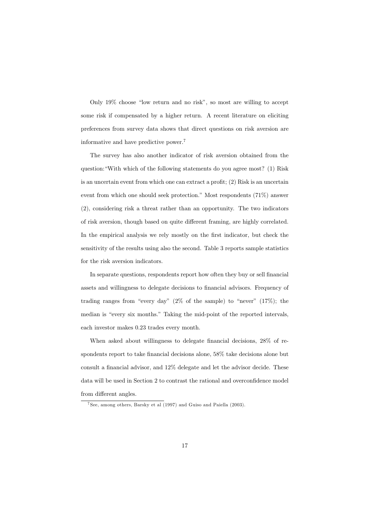Only 19% choose "low return and no risk", so most are willing to accept some risk if compensated by a higher return. A recent literature on eliciting preferences from survey data shows that direct questions on risk aversion are informative and have predictive power.<sup>7</sup>

The survey has also another indicator of risk aversion obtained from the question: "With which of the following statements do you agree most? (1) Risk is an uncertain event from which one can extract a profit;  $(2)$  Risk is an uncertain event from which one should seek protection." Most respondents (71%) answer (2), considering risk a threat rather than an opportunity. The two indicators of risk aversion, though based on quite different framing, are highly correlated. In the empirical analysis we rely mostly on the first indicator, but check the sensitivity of the results using also the second. Table 3 reports sample statistics for the risk aversion indicators.

In separate questions, respondents report how often they buy or sell financial assets and willingness to delegate decisions to financial advisors. Frequency of trading ranges from "every day"  $(2\% \text{ of the sample})$  to "never"  $(17\%)$ ; the median is "every six months." Taking the mid-point of the reported intervals, each investor makes 0.23 trades every month.

When asked about willingness to delegate financial decisions, 28% of respondents report to take financial decisions alone, 58% take decisions alone but consult a financial advisor, and 12% delegate and let the advisor decide. These data will be used in Section 2 to contrast the rational and overconfidence model from different angles.

 $7$ See, among others, Barsky et al (1997) and Guiso and Paiella (2003).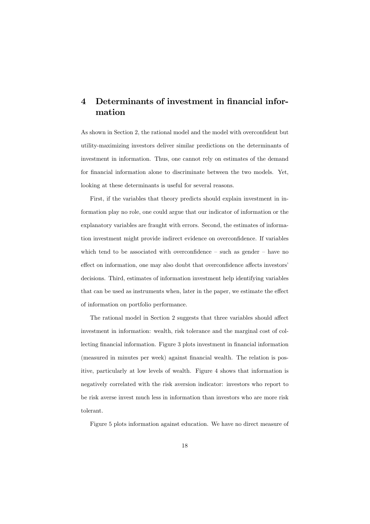### Determinants of investment in financial infor- $\boldsymbol{4}$ mation

As shown in Section 2, the rational model and the model with overconfident but utility-maximizing investors deliver similar predictions on the determinants of investment in information. Thus, one cannot rely on estimates of the demand for financial information alone to discriminate between the two models. Yet, looking at these determinants is useful for several reasons.

First, if the variables that theory predicts should explain investment in information play no role, one could argue that our indicator of information or the explanatory variables are fraught with errors. Second, the estimates of information investment might provide indirect evidence on overconfidence. If variables which tend to be associated with overconfidence  $-$  such as gender  $-$  have no effect on information, one may also doubt that overconfidence affects investors' decisions. Third, estimates of information investment help identifying variables that can be used as instruments when, later in the paper, we estimate the effect of information on portfolio performance.

The rational model in Section 2 suggests that three variables should affect investment in information: wealth, risk tolerance and the marginal cost of collecting financial information. Figure 3 plots investment in financial information (measured in minutes per week) against financial wealth. The relation is positive, particularly at low levels of wealth. Figure 4 shows that information is negatively correlated with the risk aversion indicator: investors who report to be risk averse invest much less in information than investors who are more risk tolerant.

Figure 5 plots information against education. We have no direct measure of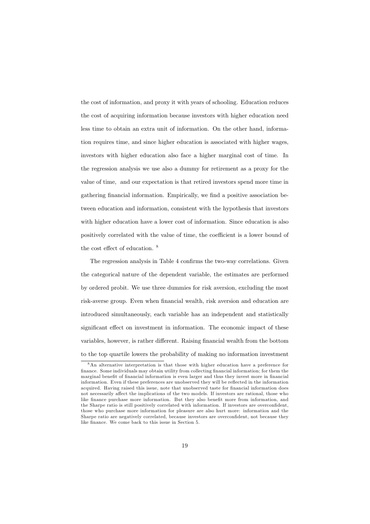the cost of information, and proxy it with years of schooling. Education reduces the cost of acquiring information because investors with higher education need less time to obtain an extra unit of information. On the other hand, information requires time, and since higher education is associated with higher wages, investors with higher education also face a higher marginal cost of time. In the regression analysis we use also a dummy for retirement as a proxy for the value of time, and our expectation is that retired investors spend more time in gathering financial information. Empirically, we find a positive association between education and information, consistent with the hypothesis that investors with higher education have a lower cost of information. Since education is also positively correlated with the value of time, the coefficient is a lower bound of the cost effect of education.  $8$ 

The regression analysis in Table 4 confirms the two-way correlations. Given the categorical nature of the dependent variable, the estimates are performed by ordered probit. We use three dummies for risk aversion, excluding the most risk-averse group. Even when financial wealth, risk aversion and education are introduced simultaneously, each variable has an independent and statistically significant effect on investment in information. The economic impact of these variables, however, is rather different. Raising financial wealth from the bottom to the top quartile lowers the probability of making no information investment

 $8$ An alternative interpretation is that those with higher education have a preference for finance. Some individuals may obtain utility from collecting financial information; for them the marginal benefit of financial information is even larger and thus they invest more in financial information. Even if these preferences are unobserved they will be reflected in the information acquired. Having raised this issue, note that unobserved taste for financial information does not necessarily affect the implications of the two models. If investors are rational, those who like finance purchase more information. But they also benefit more from information, and the Sharpe ratio is still positively correlated with information. If investors are overconfident, those who purchase more information for pleasure are also hurt more: information and the Sharpe ratio are negatively correlated, because investors are overconfident, not because they like finance. We come back to this issue in Section 5.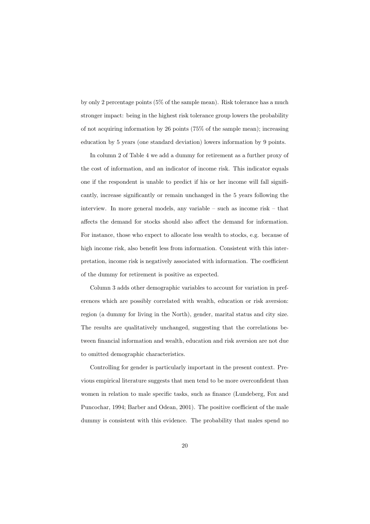by only 2 percentage points  $(5\%$  of the sample mean). Risk tolerance has a much stronger impact: being in the highest risk tolerance group lowers the probability of not acquiring information by 26 points  $(75\% \text{ of the sample mean});$  increasing education by 5 years (one standard deviation) lowers information by 9 points.

In column 2 of Table 4 we add a dummy for retirement as a further proxy of the cost of information, and an indicator of income risk. This indicator equals one if the respondent is unable to predict if his or her income will fall significantly, increase significantly or remain unchanged in the 5 years following the interview. In more general models, any variable  $-$  such as income risk  $-$  that affects the demand for stocks should also affect the demand for information. For instance, those who expect to allocate less wealth to stocks, e.g. because of high income risk, also benefit less from information. Consistent with this interpretation, income risk is negatively associated with information. The coefficient of the dummy for retirement is positive as expected.

Column 3 adds other demographic variables to account for variation in preferences which are possibly correlated with wealth, education or risk aversion: region (a dummy for living in the North), gender, marital status and city size. The results are qualitatively unchanged, suggesting that the correlations between financial information and wealth, education and risk aversion are not due to omitted demographic characteristics.

Controlling for gender is particularly important in the present context. Previous empirical literature suggests that men tend to be more overconfident than women in relation to male specific tasks, such as finance (Lundeberg, Fox and Puncochar, 1994; Barber and Odean, 2001). The positive coefficient of the male dummy is consistent with this evidence. The probability that males spend no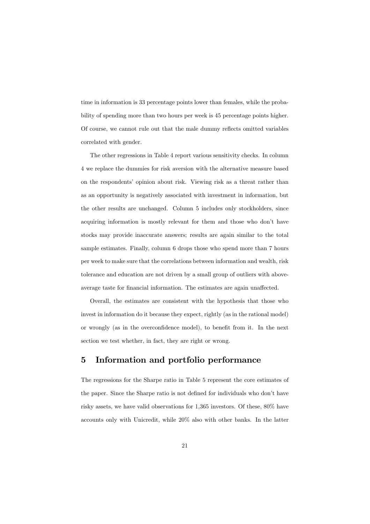time in information is 33 percentage points lower than females, while the probability of spending more than two hours per week is 45 percentage points higher. Of course, we cannot rule out that the male dummy reflects omitted variables correlated with gender.

The other regressions in Table 4 report various sensitivity checks. In column 4 we replace the dummies for risk aversion with the alternative measure based on the respondents' opinion about risk. Viewing risk as a threat rather than as an opportunity is negatively associated with investment in information, but the other results are unchanged. Column 5 includes only stockholders, since acquiring information is mostly relevant for them and those who don't have stocks may provide inaccurate answers; results are again similar to the total sample estimates. Finally, column 6 drops those who spend more than 7 hours per week to make sure that the correlations between information and wealth, risk tolerance and education are not driven by a small group of outliers with aboveaverage taste for financial information. The estimates are again unaffected.

Overall, the estimates are consistent with the hypothesis that those who invest in information do it because they expect, rightly (as in the rational model) or wrongly (as in the overconfidence model), to benefit from it. In the next section we test whether, in fact, they are right or wrong.

#### $\overline{5}$ Information and portfolio performance

The regressions for the Sharpe ratio in Table 5 represent the core estimates of the paper. Since the Sharpe ratio is not defined for individuals who don't have risky assets, we have valid observations for 1,365 investors. Of these, 80% have accounts only with Unicredit, while 20% also with other banks. In the latter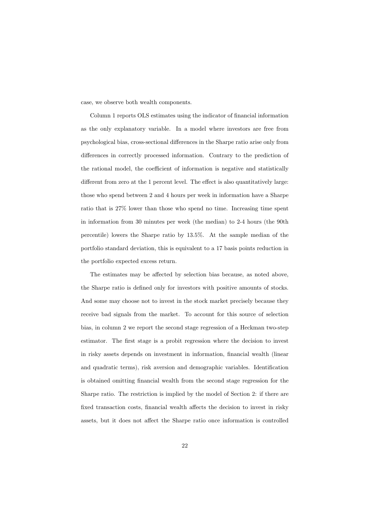case, we observe both wealth components.

Column 1 reports OLS estimates using the indicator of financial information as the only explanatory variable. In a model where investors are free from psychological bias, cross-sectional differences in the Sharpe ratio arise only from differences in correctly processed information. Contrary to the prediction of the rational model, the coefficient of information is negative and statistically different from zero at the 1 percent level. The effect is also quantitatively large: those who spend between 2 and 4 hours per week in information have a Sharpe ratio that is  $27\%$  lower than those who spend no time. Increasing time spent in information from 30 minutes per week (the median) to 2-4 hours (the 90th percentile) lowers the Sharpe ratio by  $13.5\%$ . At the sample median of the portfolio standard deviation, this is equivalent to a 17 basis points reduction in the portfolio expected excess return.

The estimates may be affected by selection bias because, as noted above, the Sharpe ratio is defined only for investors with positive amounts of stocks. And some may choose not to invest in the stock market precisely because they receive bad signals from the market. To account for this source of selection bias, in column 2 we report the second stage regression of a Heckman two-step estimator. The first stage is a probit regression where the decision to invest in risky assets depends on investment in information, financial wealth (linear and quadratic terms), risk aversion and demographic variables. Identification is obtained omitting financial wealth from the second stage regression for the Sharpe ratio. The restriction is implied by the model of Section 2: if there are fixed transaction costs, financial wealth affects the decision to invest in risky assets, but it does not affect the Sharpe ratio once information is controlled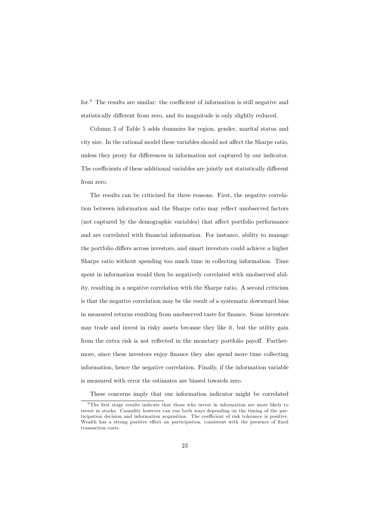for. $9$  The results are similar: the coefficient of information is still negative and statistically different from zero, and its magnitude is only slightly reduced.

Column 3 of Table 5 adds dummies for region, gender, marital status and city size. In the rational model these variables should not affect the Sharpe ratio, unless they proxy for differences in information not captured by our indicator. The coefficients of these additional variables are jointly not statistically different from zero.

The results can be criticized for three reasons. First, the negative correlation between information and the Sharpe ratio may reflect unobserved factors (not captured by the demographic variables) that affect portfolio performance and are correlated with financial information. For instance, ability to manage the portfolio differs across investors, and smart investors could achieve a higher Sharpe ratio without spending too much time in collecting information. Time spent in information would then be negatively correlated with unobserved ability, resulting in a negative correlation with the Sharpe ratio. A second criticism is that the negative correlation may be the result of a systematic downward bias in measured returns resulting from unobserved taste for finance. Some investors may trade and invest in risky assets because they like it, but the utility gain from the extra risk is not reflected in the monetary portfolio payoff. Furthermore, since these investors enjoy finance they also spend more time collecting information, hence the negative correlation. Finally, if the information variable is measured with error the estimates are biased towards zero.

These concerns imply that our information indicator might be correlated

<sup>&</sup>lt;sup>9</sup>The first stage results indicate that those who invest in information are more likely to invest in stocks. Causality however can run both ways depending on the timing of the participation decision and information acquisition. The coefficient of risk tolerance is positive. Wealth has a strong positive effect on participation, consistent with the presence of fixed transaction costs.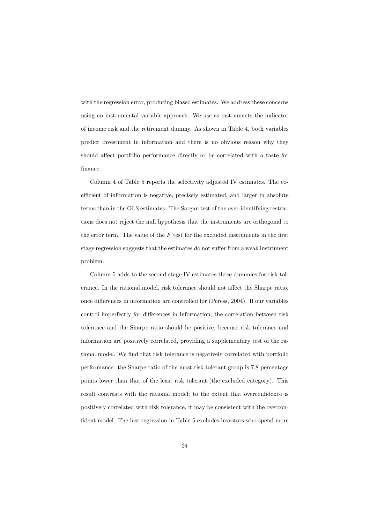with the regression error, producing biased estimates. We address these concerns using an instrumental variable approach. We use as instruments the indicator of income risk and the retirement dummy. As shown in Table 4, both variables predict investment in information and there is no obvious reason why they should affect portfolio performance directly or be correlated with a taste for finance.

Column 4 of Table 5 reports the selectivity adjusted IV estimates. The coefficient of information is negative, precisely estimated, and larger in absolute terms than in the OLS estimates. The Sargan test of the over-identifying restrictions does not reject the null hypothesis that the instruments are orthogonal to the error term. The value of the  $F$  test for the excluded instruments in the first stage regression suggests that the estimates do not suffer from a weak instrument problem.

Column 5 adds to the second stage IV estimates three dummies for risk tolerance. In the rational model, risk tolerance should not affect the Sharpe ratio, once differences in information are controlled for (Peress, 2004). If our variables control imperfectly for differences in information, the correlation between risk tolerance and the Sharpe ratio should be positive, because risk tolerance and information are positively correlated, providing a supplementary test of the rational model. We find that risk tolerance is negatively correlated with portfolio performance: the Sharpe ratio of the most risk tolerant group is 7.8 percentage points lower than that of the least risk tolerant (the excluded category). This result contrasts with the rational model; to the extent that overconfidence is positively correlated with risk tolerance, it may be consistent with the overconfident model. The last regression in Table 5 excludes investors who spend more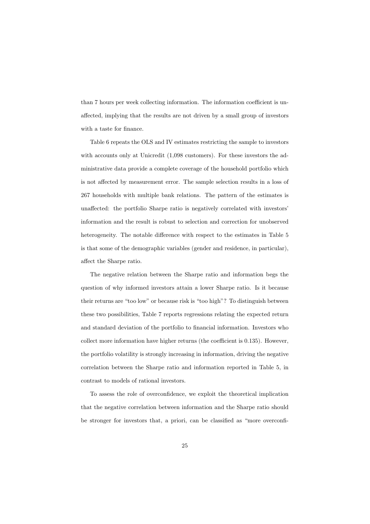than 7 hours per week collecting information. The information coefficient is unaffected, implying that the results are not driven by a small group of investors with a taste for finance.

Table 6 repeats the OLS and IV estimates restricting the sample to investors with accounts only at Unicredit (1.098 customers). For these investors the administrative data provide a complete coverage of the household portfolio which is not affected by measurement error. The sample selection results in a loss of 267 households with multiple bank relations. The pattern of the estimates is unaffected: the portfolio Sharpe ratio is negatively correlated with investors' information and the result is robust to selection and correction for unobserved heterogeneity. The notable difference with respect to the estimates in Table 5 is that some of the demographic variables (gender and residence, in particular), affect the Sharpe ratio.

The negative relation between the Sharpe ratio and information begs the question of why informed investors attain a lower Sharpe ratio. Is it because their returns are "too low" or because risk is "too high"? To distinguish between these two possibilities, Table 7 reports regressions relating the expected return and standard deviation of the portfolio to financial information. Investors who collect more information have higher returns (the coefficient is 0.135). However, the portfolio volatility is strongly increasing in information, driving the negative correlation between the Sharpe ratio and information reported in Table 5, in contrast to models of rational investors.

To assess the role of overconfidence, we exploit the theoretical implication that the negative correlation between information and the Sharpe ratio should be stronger for investors that, a priori, can be classified as "more overconfi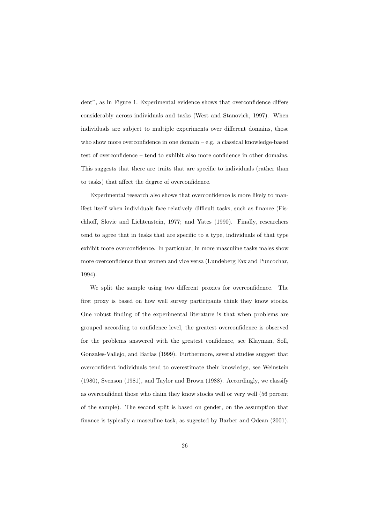dent", as in Figure 1. Experimental evidence shows that overconfidence differs considerably across individuals and tasks (West and Stanovich, 1997). When individuals are subject to multiple experiments over different domains, those who show more overconfidence in one domain  $-$  e.g. a classical knowledge-based test of overconfidence  $-$  tend to exhibit also more confidence in other domains. This suggests that there are traits that are specific to individuals (rather than to tasks) that affect the degree of overconfidence.

Experimental research also shows that overconfidence is more likely to manifest itself when individuals face relatively difficult tasks, such as finance (Fischhoff, Slovic and Lichtenstein, 1977; and Yates (1990). Finally, researchers tend to agree that in tasks that are specific to a type, individuals of that type exhibit more overconfidence. In particular, in more masculine tasks males show more overconfidence than women and vice versa (Lundeberg Fax and Puncochar, 1994).

We split the sample using two different proxies for overconfidence. The first proxy is based on how well survey participants think they know stocks. One robust finding of the experimental literature is that when problems are grouped according to confidence level, the greatest overconfidence is observed for the problems answered with the greatest confidence, see Klayman, Soll, Gonzales-Vallejo, and Barlas (1999). Furthermore, several studies suggest that overconfident individuals tend to overestimate their knowledge, see Weinstein (1980), Svenson (1981), and Taylor and Brown (1988). Accordingly, we classify as overconfident those who claim they know stocks well or very well (56 percent of the sample). The second split is based on gender, on the assumption that finance is typically a masculine task, as suggested by Barber and Odean (2001).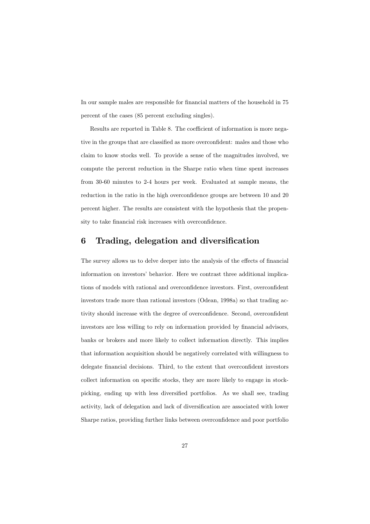In our sample males are responsible for financial matters of the household in 75 percent of the cases (85 percent excluding singles).

Results are reported in Table 8. The coefficient of information is more negative in the groups that are classified as more overconfident: males and those who claim to know stocks well. To provide a sense of the magnitudes involved, we compute the percent reduction in the Sharpe ratio when time spent increases from 30-60 minutes to 2-4 hours per week. Evaluated at sample means, the reduction in the ratio in the high overconfidence groups are between 10 and 20 percent higher. The results are consistent with the hypothesis that the propensity to take financial risk increases with overconfidence.

#### 6 Trading, delegation and diversification

The survey allows us to delve deeper into the analysis of the effects of financial information on investors' behavior. Here we contrast three additional implications of models with rational and overconfidence investors. First, overconfident investors trade more than rational investors (Odean, 1998a) so that trading activity should increase with the degree of overconfidence. Second, overconfident investors are less willing to rely on information provided by financial advisors, banks or brokers and more likely to collect information directly. This implies that information acquisition should be negatively correlated with willingness to delegate financial decisions. Third, to the extent that overconfident investors collect information on specific stocks, they are more likely to engage in stockpicking, ending up with less diversified portfolios. As we shall see, trading activity, lack of delegation and lack of diversification are associated with lower Sharpe ratios, providing further links between overconfidence and poor portfolio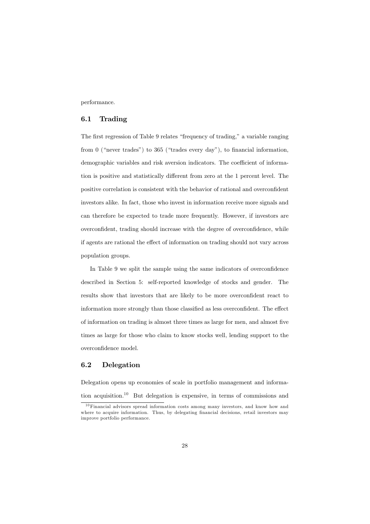performance.

#### $6.1$ Trading

The first regression of Table 9 relates "frequency of trading," a variable ranging from  $0$  ("never trades") to 365 ("trades every day"), to financial information, demographic variables and risk aversion indicators. The coefficient of information is positive and statistically different from zero at the 1 percent level. The positive correlation is consistent with the behavior of rational and overconfident investors alike. In fact, those who invest in information receive more signals and can therefore be expected to trade more frequently. However, if investors are overconfident, trading should increase with the degree of overconfidence, while if agents are rational the effect of information on trading should not vary across population groups.

In Table 9 we split the sample using the same indicators of overconfidence described in Section 5: self-reported knowledge of stocks and gender. The results show that investors that are likely to be more overconfident react to information more strongly than those classified as less overconfident. The effect of information on trading is almost three times as large for men, and almost five times as large for those who claim to know stocks well, lending support to the overconfidence model.

#### $6.2$ Delegation

Delegation opens up economies of scale in portfolio management and information acquisition.<sup>10</sup> But delegation is expensive, in terms of commissions and

<sup>&</sup>lt;sup>10</sup> Financial advisors spread information costs among many investors, and know how and where to acquire information. Thus, by delegating financial decisions, retail investors may improve portfolio performance.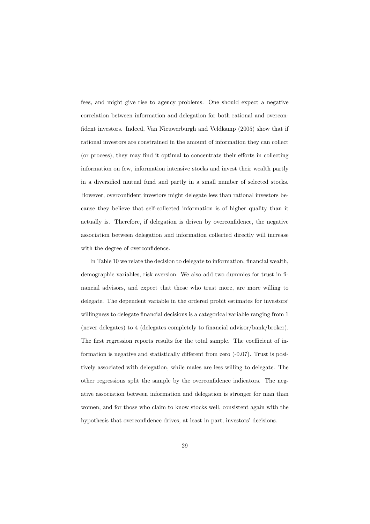fees, and might give rise to agency problems. One should expect a negative correlation between information and delegation for both rational and overconfident investors. Indeed, Van Nieuwerburgh and Veldkamp (2005) show that if rational investors are constrained in the amount of information they can collect (or process), they may find it optimal to concentrate their efforts in collecting information on few, information intensive stocks and invest their wealth partly in a diversified mutual fund and partly in a small number of selected stocks. However, overconfident investors might delegate less than rational investors because they believe that self-collected information is of higher quality than it actually is. Therefore, if delegation is driven by overconfidence, the negative association between delegation and information collected directly will increase with the degree of overconfidence.

In Table 10 we relate the decision to delegate to information, financial wealth, demographic variables, risk aversion. We also add two dummies for trust in financial advisors, and expect that those who trust more, are more willing to delegate. The dependent variable in the ordered probit estimates for investors' willingness to delegate financial decisions is a categorical variable ranging from 1 (never delegates) to 4 (delegates completely to financial advisor/bank/broker). The first regression reports results for the total sample. The coefficient of information is negative and statistically different from zero  $(-0.07)$ . Trust is positively associated with delegation, while males are less willing to delegate. The other regressions split the sample by the overconfidence indicators. The negative association between information and delegation is stronger for man than women, and for those who claim to know stocks well, consistent again with the hypothesis that overconfidence drives, at least in part, investors' decisions.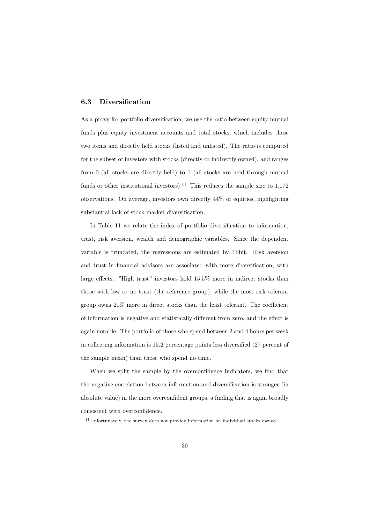#### Diversification  $6.3$

As a proxy for portfolio diversification, we use the ratio between equity mutual funds plus equity investment accounts and total stocks, which includes these two items and directly held stocks (listed and unlisted). The ratio is computed for the subset of investors with stocks (directly or indirectly owned), and ranges from  $0$  (all stocks are directly held) to  $1$  (all stocks are held through mutual funds or other institutional investors).<sup>11</sup> This reduces the sample size to  $1,172$ observations. On average, investors own directly  $44\%$  of equities, highlighting substantial lack of stock market diversification.

In Table 11 we relate the index of portfolio diversification to information, trust, risk aversion, wealth and demographic variables. Since the dependent variable is truncated, the regressions are estimated by Tobit. Risk aversion and trust in financial advisors are associated with more diversification, with large effects. "High trust" investors hold 15.5% more in indirect stocks than those with low or no trust (the reference group), while the most risk tolerant group owns  $21\%$  more in direct stocks than the least tolerant. The coefficient of information is negative and statistically different from zero, and the effect is again notable. The portfolio of those who spend between 2 and 4 hours per week in collecting information is 15.2 percentage points less diversified (27 percent of the sample mean) than those who spend no time.

When we split the sample by the overconfidence indicators, we find that the negative correlation between information and diversification is stronger (in absolute value) in the more overconfident groups, a finding that is again broadly  $\!$  consistent with overconfidence.

 $11$  Unfortunately, the survey does not provide information on individual stocks owned.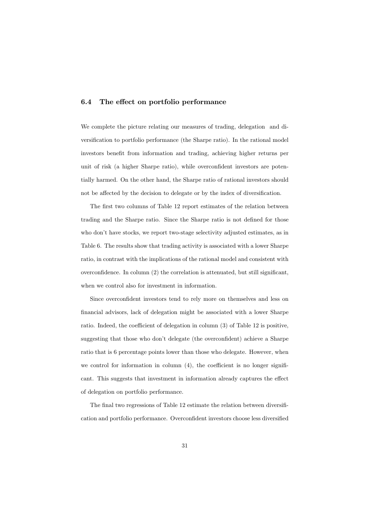#### $6.4$ The effect on portfolio performance

We complete the picture relating our measures of trading, delegation and diversification to portfolio performance (the Sharpe ratio). In the rational model investors benefit from information and trading, achieving higher returns per unit of risk (a higher Sharpe ratio), while overconfident investors are potentially harmed. On the other hand, the Sharpe ratio of rational investors should not be affected by the decision to delegate or by the index of diversification.

The first two columns of Table 12 report estimates of the relation between trading and the Sharpe ratio. Since the Sharpe ratio is not defined for those who don't have stocks, we report two-stage selectivity adjusted estimates, as in Table 6. The results show that trading activity is associated with a lower Sharpe ratio, in contrast with the implications of the rational model and consistent with overconfidence. In column  $(2)$  the correlation is attenuated, but still significant. when we control also for investment in information.

Since overconfident investors tend to rely more on themselves and less on financial advisors, lack of delegation might be associated with a lower Sharpe ratio. Indeed, the coefficient of delegation in column (3) of Table 12 is positive, suggesting that those who don't delegate (the overconfident) achieve a Sharpe ratio that is 6 percentage points lower than those who delegate. However, when we control for information in column  $(4)$ , the coefficient is no longer significant. This suggests that investment in information already captures the effect of delegation on portfolio performance.

The final two regressions of Table 12 estimate the relation between diversification and portfolio performance. Overconfident investors choose less diversified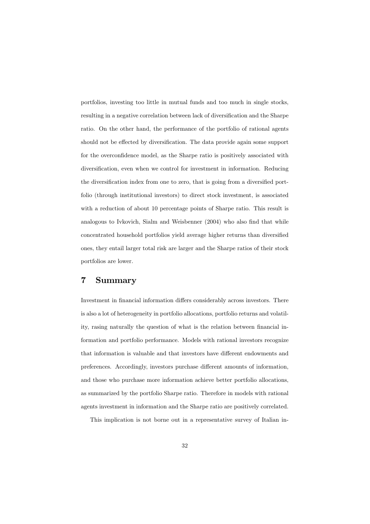portfolios, investing too little in mutual funds and too much in single stocks, resulting in a negative correlation between lack of diversification and the Sharpe ratio. On the other hand, the performance of the portfolio of rational agents should not be effected by diversification. The data provide again some support for the overconfidence model, as the Sharpe ratio is positively associated with diversification, even when we control for investment in information. Reducing the diversification index from one to zero, that is going from a diversified portfolio (through institutional investors) to direct stock investment, is associated with a reduction of about 10 percentage points of Sharpe ratio. This result is analogous to Ivkovich, Sialm and Weisbenner (2004) who also find that while concentrated household portfolios yield average higher returns than diversified ones, they entail larger total risk are larger and the Sharpe ratios of their stock portfolios are lower.

#### 7  $\operatorname{Summary}$

Investment in financial information differs considerably across investors. There is also a lot of heterogeneity in portfolio allocations, portfolio returns and volatility, rasing naturally the question of what is the relation between financial information and portfolio performance. Models with rational investors recognize that information is valuable and that investors have different endowments and preferences. Accordingly, investors purchase different amounts of information, and those who purchase more information achieve better portfolio allocations, as summarized by the portfolio Sharpe ratio. Therefore in models with rational agents investment in information and the Sharpe ratio are positively correlated.

This implication is not borne out in a representative survey of Italian in-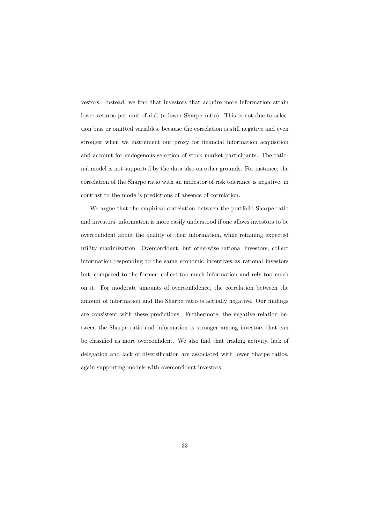vestors. Instead, we find that investors that acquire more information attain lower returns per unit of risk (a lower Sharpe ratio). This is not due to selection bias or omitted variables, because the correlation is still negative and even stronger when we instrument our proxy for financial information acquisition and account for endogenous selection of stock market participants. The rational model is not supported by the data also on other grounds. For instance, the correlation of the Sharpe ratio with an indicator of risk tolerance is negative, in contrast to the model's predictions of absence of correlation.

We argue that the empirical correlation between the portfolio Sharpe ratio and investors' information is more easily understood if one allows investors to be overconfident about the quality of their information, while retaining expected utility maximization. Overconfident, but otherwise rational investors, collect information responding to the same economic incentives as rational investors but, compared to the former, collect too much information and rely too much on it. For moderate amounts of overconfidence, the correlation between the amount of information and the Sharpe ratio is actually negative. Our findings are consistent with these predictions. Furthermore, the negative relation between the Sharpe ratio and information is stronger among investors that can be classified as more overconfident. We also find that trading activity, lack of delegation and lack of diversification are associated with lower Sharpe ratios, again supporting models with overconfident investors.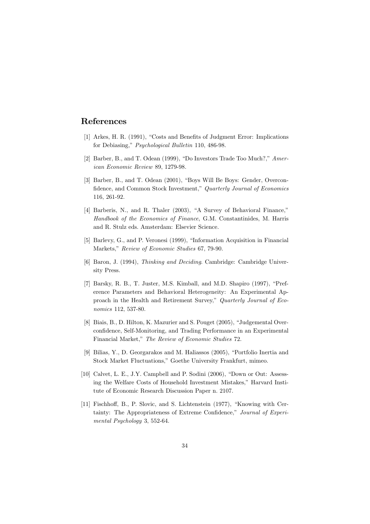# References

- [1] Arkes, H. R. (1991), "Costs and Benefits of Judgment Error: Implications for Debiasing," Psychological Bulletin 110, 486-98.
- [2] Barber, B., and T. Odean (1999), "Do Investors Trade Too Much?," American Economic Review 89, 1279-98.
- [3] Barber, B., and T. Odean (2001), "Boys Will Be Boys: Gender, Overconfidence, and Common Stock Investment," Quarterly Journal of Economics 116, 261-92.
- [4] Barberis, N., and R. Thaler (2003), "A Survey of Behavioral Finance," Handbook of the Economics of Finance, G.M. Constantinides, M. Harris and R. Stulz eds. Amsterdam: Elsevier Science.
- [5] Barlevy, G., and P. Veronesi (1999), "Information Acquisition in Financial Markets," Review of Economic Studies 67, 79-90.
- [6] Baron, J. (1994), Thinking and Deciding. Cambridge: Cambridge University Press.
- [7] Barsky, R. B., T. Juster, M.S. Kimball, and M.D. Shapiro (1997), "Preference Parameters and Behavioral Heterogeneity: An Experimental Approach in the Health and Retirement Survey," Quarterly Journal of Economics 112, 537-80.
- [8] Biais, B., D. Hilton, K. Mazurier and S. Pouget (2005), "Judgemental Overconfidence, Self-Monitoring, and Trading Performance in an Experimental Financial Market," The Review of Economic Studies 72.
- [9] Bilias, Y., D. Georgarakos and M. Haliassos (2005). "Portfolio Inertia and Stock Market Fluctuations," Goethe University Frankfurt, mimeo.
- [10] Calvet, L. E., J.Y. Campbell and P. Sodini (2006), "Down or Out: Assessing the Welfare Costs of Household Investment Mistakes," Harvard Institute of Economic Research Discussion Paper n. 2107.
- [11] Fischhoff, B., P. Slovic, and S. Lichtenstein (1977), "Knowing with Certainty: The Appropriateness of Extreme Confidence," Journal of Experimental Psychology 3, 552-64.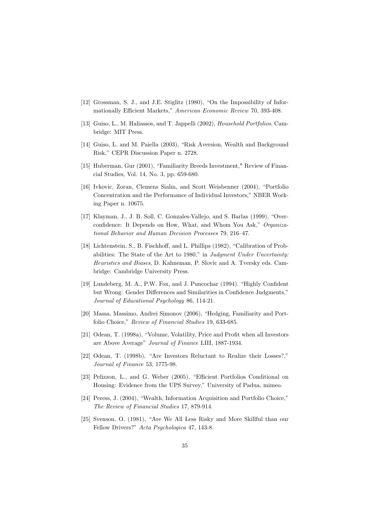- [12] Grossman, S. J., and J.E. Stiglitz (1980), "On the Impossibility of Informationally Efficient Markets," American Economic Review 70, 393-408.
- [13] Guiso, L., M. Haliassos, and T. Jappelli (2002), *Household Portfolios*. Cambridge: MIT Press.
- [14] Guiso, L. and M. Paiella (2003), "Risk Aversion, Wealth and Background Risk," CEPR Discussion Paper n. 2728.
- [15] Huberman, Gur (2001), "Familiarity Breeds Investment," Review of Financial Studies, Vol. 14, No. 3, pp. 659-680.
- [16] Ivkovic, Zoran, Clemens Sialm, and Scott Weisbenner (2004), "Portfolio Concentration and the Performance of Individual Investors," NBER Working Paper n. 10675.
- [17] Klayman, J., J. B. Soll, C. Gonzales-Vallejo, and S. Barlas (1999), "Overconfidence: It Depends on How, What, and Whom You Ask," Organizational Behavior and Human Decision Processes 79, 216-47.
- [18] Lichtenstein, S., B. Fischhoff, and L. Phillips (1982), "Calibration of Probabilities: The State of the Art to 1980," in Judgment Under Uncertainty: Heuristics and Biases, D. Kahneman, P. Slovic and A. Tversky eds. Cambridge: Cambridge University Press.
- [19] Lundeberg, M. A., P.W. Fox, and J. Puncochar (1994). "Highly Confident but Wrong: Gender Differences and Similarities in Confidence Judgments," Journal of Educational Psychology 86, 114-21.
- [20] Massa, Massimo, Andrei Simonov (2006), "Hedging, Familiarity and Portfolio Choice," Review of Financial Studies 19, 633-685.
- [21] Odean, T. (1998a), "Volume, Volatility, Price and Profit when all Investors are Above Average" Journal of Finance LIII, 1887-1934.
- [22] Odean, T. (1998b), "Are Investors Reluctant to Realize their Losses?," Journal of Finance 53, 1775-98.
- [23] Pelizzon, L., and G. Weber (2005), "Efficient Portfolios Conditional on Housing: Evidence from the UPS Survey," University of Padua, mimeo.
- [24] Peress, J. (2004), "Wealth, Information Acquisition and Portfolio Choice," The Review of Financial Studies 17, 879-914.
- [25] Svenson, O. (1981), "Are We All Less Risky and More Skillful than our Fellow Drivers?" Acta Psychologica 47, 143-8.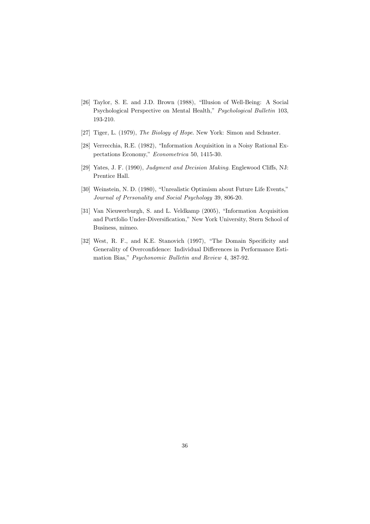- [26] Taylor, S. E. and J.D. Brown (1988), "Illusion of Well-Being: A Social Psychological Perspective on Mental Health," Psychological Bulletin 103, 193-210.
- [27] Tiger, L. (1979), The Biology of Hope. New York: Simon and Schuster.
- [28] Verrecchia, R.E. (1982), "Information Acquisition in a Noisy Rational Expectations Economy," Econometrica 50, 1415-30.
- [29] Yates, J. F. (1990), *Judgment and Decision Making*. Englewood Cliffs, NJ: Prentice Hall.
- [30] Weinstein, N. D. (1980), "Unrealistic Optimism about Future Life Events," Journal of Personality and Social Psychology 39, 806-20.
- [31] Van Nieuwerburgh, S. and L. Veldkamp (2005), "Information Acquisition and Portfolio Under-Diversification," New York University, Stern School of Business, mimeo.
- [32] West, R. F., and K.E. Stanovich (1997), "The Domain Specificity and Generality of Overconfidence: Individual Differences in Performance Estimation Bias," Psychonomic Bulletin and Review 4, 387-92.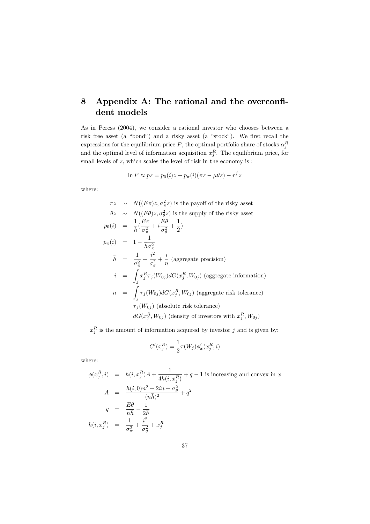### Appendix A: The rational and the overconfi-8 dent models

As in Peress (2004), we consider a rational investor who chooses between a risk free asset (a "bond") and a risky asset (a "stock"). We first recall the expressions for the equilibrium price P, the optimal portfolio share of stocks  $\alpha_i^R$ and the optimal level of information acquisition  $x_j^R$ . The equilibrium price, for small levels of  $z$ , which scales the level of risk in the economy is :

$$
\ln P \approx pz = p_0(i)z + p_\pi(i)(\pi z - \mu \theta z) - r^f z
$$

where:

$$
\pi z \sim N((E\pi)z, \sigma_{\pi}^2 z)
$$
 is the payoff of the risky asset  
\n
$$
\theta z \sim N((E\theta)z, \sigma_{\theta}^2 z)
$$
 is the supply of the risky asset  
\n
$$
p_0(i) = \frac{1}{\bar{h}}(\frac{E\pi}{\sigma_{\pi}^2} + i\frac{E\theta}{\sigma_{\theta}^2} + \frac{1}{2})
$$
  
\n
$$
p_{\pi}(i) = 1 - \frac{1}{\bar{h}\sigma_{\pi}^2}
$$
  
\n
$$
\bar{h} = \frac{1}{\sigma_{\pi}^2} + i\frac{i^2}{\sigma_{\theta}^2} + i\frac{i}{n}
$$
 (aggregate precision)  
\n
$$
i = \int_j x_j^R \tau_j(W_{0j}) dG(x_j^R, W_{0j})
$$
 (aggregate information)  
\n
$$
n = \int_j \tau_j(W_{0j}) dG(x_j^R, W_{0j})
$$
 (aggregate risk tolerance)  
\n
$$
\tau_j(W_{0j})
$$
 (absolute risk tolerance)  
\n
$$
dG(x_j^R, W_{0j})
$$
 (density of investors with  $x_j^R, W_{0j}$ )

 $x_j^R$  is the amount of information acquired by investor  $j$  and is given by:

$$
C'(x_j^R) = \frac{1}{2}\tau(W_j)\phi'_x(x_j^R, i)
$$

where:

$$
\phi(x_j^R, i) = h(i, x_j^R)A + \frac{1}{4h(i, x_j^R)} + q - 1
$$
 is increasing and convex in  $x$   
\n
$$
A = \frac{h(i, 0)n^2 + 2in + \sigma_{\theta}^2}{(n\bar{h})^2} + q^2
$$
  
\n
$$
q = \frac{E\theta}{n\bar{h}} - \frac{1}{2\bar{h}}
$$
  
\n
$$
h(i, x_j^R) = \frac{1}{\sigma_{\pi}^2} + \frac{i^2}{\sigma_{\theta}^2} + x_j^R
$$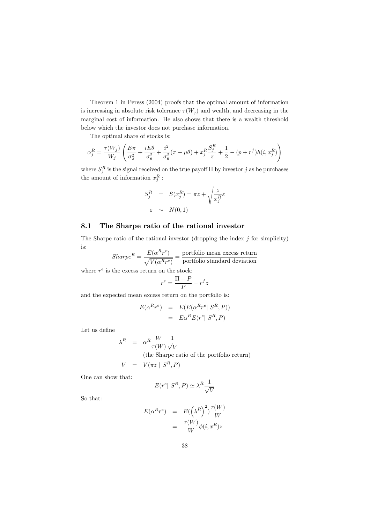Theorem 1 in Peress (2004) proofs that the optimal amount of information is increasing in absolute risk tolerance  $\tau(W_j)$  and wealth, and decreasing in the marginal cost of information. He also shows that there is a wealth threshold below which the investor does not purchase information.

The optimal share of stocks is:

$$
\alpha_j^R = \frac{\tau(W_j)}{W_j} \left( \frac{E\pi}{\sigma_\pi^2} + \frac{iE\theta}{\sigma_\theta^2} + \frac{i^2}{\sigma_\theta^2} (\pi - \mu\theta) + x_j^R \frac{S_j^R}{z} + \frac{1}{2} - (p + r^f)h(i, x_j^R) \right)
$$

where  $S_j^R$  is the signal received on the true payoff  $\Pi$  by investor  $j$  as he purchases the amount of information  $x_j^R$  :

$$
S_j^R = S(x_j^R) = \pi z + \sqrt{\frac{z}{x_j^R}} \varepsilon
$$
  

$$
\varepsilon \sim N(0, 1)
$$

#### The Sharpe ratio of the rational investor 8.1

The Sharpe ratio of the rational investor (dropping the index  $j$  for simplicity) is: L.

$$
Sharpe^{R} = \frac{E(\alpha^{R}r^{e})}{\sqrt{V(\alpha^{R}r^{e})}} = \frac{\text{portfolio mean excess return}}{\text{portfolio standard deviation}}
$$

where  $r^e$  is the excess return on the stock:

$$
r^e = \frac{\Pi - P}{P} - r^f z
$$

and the expected mean excess return on the portfolio is:

$$
E(\alpha^R r^e) = E(E(\alpha^R r^e | S^R, P))
$$
  
= 
$$
E\alpha^R E(r^e | S^R, P)
$$

Let us define

$$
\lambda^{R} = \alpha^{R} \frac{W}{\tau(W)} \frac{1}{\sqrt{V}}
$$
  
(the Sharpe ratio of the portfolio return)  

$$
V = V(\pi z \mid S^{R}, P)
$$

One can show that:

$$
E(r^e | S^R, P) \simeq \lambda^R \frac{1}{\sqrt{V}}
$$

So that:

$$
E(\alpha^{R}r^{e}) = E(\left(\lambda^{R}\right)^{2}) \frac{\tau(W)}{W}
$$

$$
= \frac{\tau(W)}{W} \phi(i, x^{R}) z
$$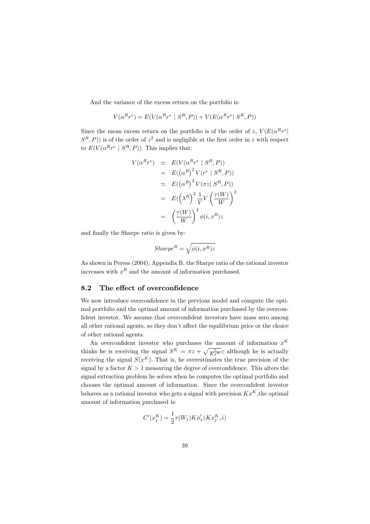And the variance of the excess return on the portfolio is:

$$
V(\alpha^R r^e) = E(V(\alpha^R r^e \ | \ S^R, P)) + V(E(\alpha^R r^e \ | \ S^R, P))
$$

Since the mean excess return on the portfolio is of the order of z,  $V(E(\alpha^R r^e))$  $(S<sup>R</sup>, P)$ ) is of the order of  $z<sup>2</sup>$  and is negligible at the first order in z with respect to  $E(V(\alpha^R r^e \mid S^R, P)).$  This implies that:

$$
V(\alpha^{R}r^{e}) \simeq E(V(\alpha^{R}r^{e} | S^{R}, P))
$$
  
\n
$$
= E((\alpha^{R})^{2} V(r^{e} | S^{R}, P))
$$
  
\n
$$
\simeq E((\alpha^{R})^{2} V(\pi z | S^{R}, P))
$$
  
\n
$$
= E((\lambda^{R})^{2} \frac{1}{V} V(\frac{\tau(W)}{W}))^{2}
$$
  
\n
$$
= (\frac{\tau(W)}{W})^{2} \phi(i, x^{R})z
$$

and finally the Sharpe ratio is given by:

$$
Sharpe^R = \sqrt{\phi(i, x^R)z}
$$

As shown in Peress (2004), Appendix B, the Sharpe ratio of the rational investor increases with  $x^R$  and the amount of information purchased.

#### The effect of overconfidence 8.2

We now introduce overconfidence in the previous model and compute the optimal portfolio and the optimal amount of information purchased by the overconfident investor. We assume that overconfident investors have mass zero among all other rational agents, so they don't affect the equilibrium price or the choice of other rational agents.

An overconfident investor who purchases the amount of information  $x^K$ thinks he is receiving the signal  $S^K = \pi z + \sqrt{\frac{z}{KxK}} \varepsilon$  although he is actually receiving the signal  $S(x^K)$ . That is, he overestimates the true precision of the signal by a factor  $K > 1$  measuring the degree of overconfidence. This alters the signal extraction problem he solves when he computes the optimal portfolio and chooses the optimal amount of information. Since the overconfident investor behaves as a rational investor who gets a signal with precision  $Kx^{K}$ , the optimal amount of information purchased is:

$$
C'(x_j^K) = \frac{1}{2}\tau(W_j)K\phi'_x(Kx_j^K, i)
$$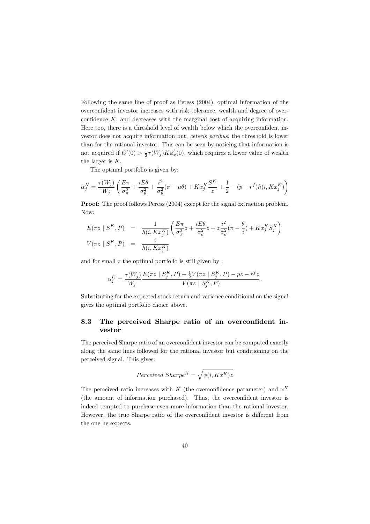Following the same line of proof as Peress (2004), optimal information of the overconfident investor increases with risk tolerance, wealth and degree of overconfidence  $K$ , and decreases with the marginal cost of acquiring information. Here too, there is a threshold level of wealth below which the overconfident investor does not acquire information but, *ceteris paribus*, the threshold is lower than for the rational investor. This can be seen by noticing that information is not acquired if  $C'(0) > \frac{1}{2}\tau(W_i)K\phi'_x(0)$ , which requires a lower value of wealth the larger is  $K$ .

The optimal portfolio is given by:

$$
\alpha_j^K = \frac{\tau(W_j)}{W_j} \left( \frac{E\pi}{\sigma_\pi^2} + \frac{iE\theta}{\sigma_\theta^2} + \frac{i^2}{\sigma_\theta^2} (\pi - \mu\theta) + Kx_j^K \frac{S^K}{z} + \frac{1}{2} - (p + r^f)h(i, Kx_j^K) \right)
$$

**Proof:** The proof follows Peress (2004) except for the signal extraction problem. Now:

$$
E(\pi z \mid S^K, P) = \frac{1}{h(i, Kx_j^K)} \left( \frac{E\pi}{\sigma_{\pi}^2} z + \frac{iE\theta}{\sigma_{\theta}^2} z + z \frac{i^2}{\sigma_{\theta}^2} (\pi - \frac{\theta}{i}) + Kx_j^K S_j^K \right)
$$
  

$$
V(\pi z \mid S^K, P) = \frac{z}{h(i, Kx_j^K)}
$$

and for small  $z$  the optimal portfolio is still given by :

$$
\alpha_j^K = \frac{\tau(W_j)}{W_j} \frac{E(\pi z \mid S_j^K, P) + \frac{1}{2}V(\pi z \mid S_j^K, P) - pz - r^f z}{V(\pi z \mid S_j^K, P)}.
$$

Substituting for the expected stock return and variance conditional on the signal gives the optimal portfolio choice above.

### 8.3 The perceived Sharpe ratio of an overconfident investor

The perceived Sharpe ratio of an overconfident investor can be computed exactly along the same lines followed for the rational investor but conditioning on the perceived signal. This gives:

$$
Perceived\ Sharpe^{K} = \sqrt{\phi(i, Kx^{K})z}
$$

The perceived ratio increases with K (the overconfidence parameter) and  $x^K$ (the amount of information purchased). Thus, the overconfident investor is indeed tempted to purchase even more information than the rational investor. However, the true Sharpe ratio of the overconfident investor is different from the one he expects.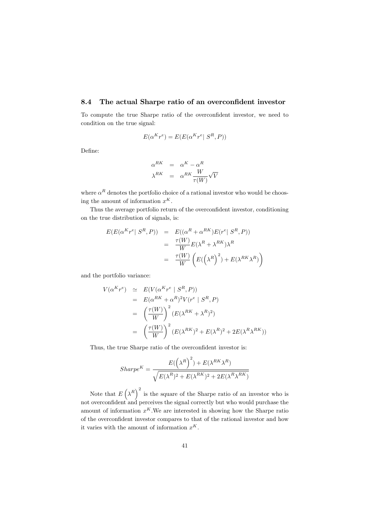#### The actual Sharpe ratio of an overconfident investor 8.4

To compute the true Sharpe ratio of the overconfident investor, we need to condition on the true signal:

$$
E(\alpha^{K}r^{e}) = E(E(\alpha^{K}r^{e} | S^{R}, P))
$$

Define:

$$
\alpha^{RK} = \alpha^K - \alpha^R
$$
  

$$
\lambda^{RK} = \alpha^{RK} \frac{W}{\tau(W)} \sqrt{V}
$$

where  $\alpha^R$  denotes the portfolio choice of a rational investor who would be choosing the amount of information  $x^K$ .

Thus the average portfolio return of the overconfident investor, conditioning on the true distribution of signals, is:

$$
E(E(\alpha^{K}r^{e} | S^{R}, P)) = E((\alpha^{R} + \alpha^{RK})E(r^{e} | S^{R}, P))
$$
  
= 
$$
\frac{\tau(W)}{W}E(\lambda^{R} + \lambda^{RK})\lambda^{R}
$$
  
= 
$$
\frac{\tau(W)}{W} (E((\lambda^{R})^{2}) + E(\lambda^{RK}\lambda^{R}))
$$

and the portfolio variance:

$$
V(\alpha^{K}r^{e}) \simeq E(V(\alpha^{K}r^{e} \mid S^{R}, P))
$$
  
\n
$$
= E(\alpha^{RK} + \alpha^{R})^{2}V(r^{e} \mid S^{R}, P)
$$
  
\n
$$
= \left(\frac{\tau(W)}{W}\right)^{2} (E(\lambda^{RK} + \lambda^{R})^{2})
$$
  
\n
$$
= \left(\frac{\tau(W)}{W}\right)^{2} (E(\lambda^{RK})^{2} + E(\lambda^{R})^{2} + 2E(\lambda^{R}\lambda^{RK}))
$$

Thus, the true Sharpe ratio of the overconfident investor is:

$$
Sharpe^{K} = \frac{E((\lambda^{R})^{2}) + E(\lambda^{RK}\lambda^{R})}{\sqrt{E(\lambda^{R})^{2} + E(\lambda^{RK})^{2} + 2E(\lambda^{R}\lambda^{RK})}}
$$

Note that  $E(\lambda^R)^2$  is the square of the Sharpe ratio of an investor who is<br>not overconfident and perceives the signal correctly but who would purchase the amount of information  $x^K$ . We are interested in showing how the Sharpe ratio of the overconfident investor compares to that of the rational investor and how it varies with the amount of information  $x^K$ .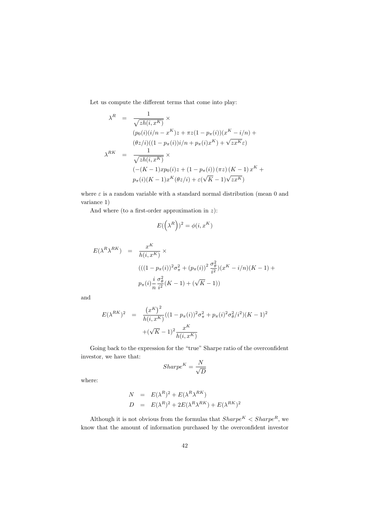Let us compute the different terms that come into play:

$$
\lambda^{R} = \frac{1}{\sqrt{zh(i, x^{K})}} \times
$$
\n
$$
(p_{0}(i)(i/n - x^{K})z + \pi z(1 - p_{\pi}(i))(x^{K} - i/n) +
$$
\n
$$
(\theta z/i)((1 - p_{\pi}(i))i/n + p_{\pi}(i)x^{K}) + \sqrt{zx^{K}}\varepsilon)
$$
\n
$$
\lambda^{RK} = \frac{1}{\sqrt{zh(i, x^{K})}} \times
$$
\n
$$
(-(K - 1)xp_{0}(i)z + (1 - p_{\pi}(i))(\pi z)(K - 1)x^{K} +
$$
\n
$$
p_{\pi}(i)(K - 1)x^{K}(\theta z/i) + \varepsilon(\sqrt{K} - 1)\sqrt{zx^{K}})
$$

where  $\varepsilon$  is a random variable with a standard normal distribution (mean 0 and variance 1)

And where (to a first-order approximation in  $z$ ):

$$
E(\left(\lambda^R\right))^2 = \phi(i, x^K)
$$

$$
E(\lambda^{R}\lambda^{RK}) = \frac{x^{K}}{h(i, x^{K})} \times
$$
  

$$
(((1 - p_{\pi}(i))^{2}\sigma_{\pi}^{2} + (p_{\pi}(i))^{2}\frac{\sigma_{\theta}^{2}}{i^{2}})(x^{K} - i/n)(K - 1) +
$$
  

$$
p_{\pi}(i)\frac{i}{n}\frac{\sigma_{\theta}^{2}}{i^{2}}(K - 1) + (\sqrt{K} - 1))
$$

 $\quad \ \ \, \text{and}$ 

$$
E(\lambda^{RK})^2 = \frac{(x^K)^2}{h(i, x^K)}((1 - p_\pi(i))^2 \sigma_\pi^2 + p_\pi(i)^2 \sigma_\theta^2/i^2)(K - 1)^2
$$
  
 
$$
+ (\sqrt{K} - 1)^2 \frac{x^K}{h(i, x^K)}
$$

Going back to the expression for the "true" Sharpe ratio of the overconfident investor, we have that:  $\,$ 

$$
Sharpe^K = \frac{N}{\sqrt{D}}
$$

where:

$$
N = E(\lambda^R)^2 + E(\lambda^R \lambda^{RK})
$$
  
\n
$$
D = E(\lambda^R)^2 + 2E(\lambda^R \lambda^{RK}) + E(\lambda^{RK})^2
$$

Although it is not obvious from the formulas that  $Share^K < Sharpe^R$ , we know that the amount of information purchased by the overconfident investor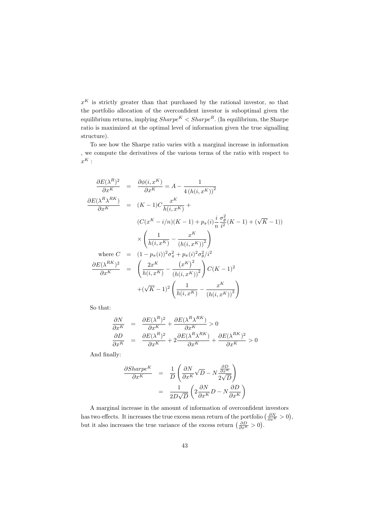$x^K$  is strictly greater than that purchased by the rational investor, so that the portfolio allocation of the overconfident investor is suboptimal given the equilibrium returns, implying  $Share^K < Sharpe^R$ . (In equilibrium, the Sharpe ratio is maximized at the optimal level of information given the true signalling structure).

To see how the Sharpe ratio varies with a marginal increase in information , we compute the derivatives of the various terms of the ratio with respect to  $x^K$ :

$$
\frac{\partial E(\lambda^{R})^{2}}{\partial x^{K}} = \frac{\partial \phi(i, x^{K})}{\partial x^{K}} = A - \frac{1}{4(h(i, x^{K}))^{2}}
$$
\n
$$
\frac{\partial E(\lambda^{R} \lambda^{RK})}{\partial x^{K}} = (K - 1)C \frac{x^{K}}{h(i, x^{K})} +
$$
\n
$$
(C(x^{K} - i/n)(K - 1) + p_{\pi}(i) \frac{i}{n} \frac{\sigma_{\theta}^{2}}{i^{2}} (K - 1) + (\sqrt{K} - 1))
$$
\n
$$
\times \left(\frac{1}{h(i, x^{K})} - \frac{x^{K}}{(h(i, x^{K}))^{2}}\right)
$$
\nwhere  $C = (1 - p_{\pi}(i))^{2} \sigma_{\pi}^{2} + p_{\pi}(i)^{2} \sigma_{\theta}^{2} / i^{2}$ \n
$$
\frac{\partial E(\lambda^{RK})^{2}}{\partial x^{K}} = \left(\frac{2x^{K}}{h(i, x^{K})} - \frac{(x^{K})^{2}}{(h(i, x^{K}))^{2}}\right) C(K - 1)^{2}
$$
\n
$$
+ (\sqrt{K} - 1)^{2} \left(\frac{1}{h(i, x^{K})} - \frac{x^{K}}{(h(i, x^{K}))^{2}}\right)
$$

So that:

$$
\frac{\partial N}{\partial x^{K}} = \frac{\partial E(\lambda^{R})^{2}}{\partial x^{K}} + \frac{\partial E(\lambda^{R}\lambda^{RK})}{\partial x^{K}} > 0
$$
  

$$
\frac{\partial D}{\partial x^{K}} = \frac{\partial E(\lambda^{R})^{2}}{\partial x^{K}} + 2\frac{\partial E(\lambda^{R}\lambda^{RK})}{\partial x^{K}} + \frac{\partial E(\lambda^{RK})^{2}}{\partial x^{K}} > 0
$$

And finally:

$$
\frac{\partial Sharpe^{K}}{\partial x^{K}} = \frac{1}{D} \left( \frac{\partial N}{\partial x^{K}} \sqrt{D} - N \frac{\frac{\partial D}{\partial x^{K}}}{2\sqrt{D}} \right)
$$

$$
= \frac{1}{2D\sqrt{D}} \left( 2 \frac{\partial N}{\partial x^{K}} D - N \frac{\partial D}{\partial x^{K}} \right)
$$

A marginal increase in the amount of information of overconfident investors has two effects. It increases the true excess mean return of the portfolio  $\left(\frac{\partial N}{\partial x^{K}} > 0\right)$ , but it also increases the true variance of the excess return  $\left(\frac{\partial D}{\partial x^{K}} > 0\right)$ .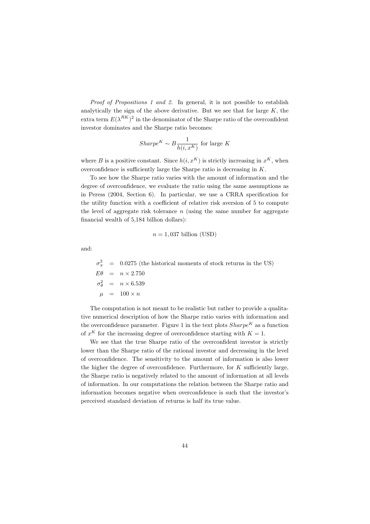Proof of Propositions 1 and 2. In general, it is not possible to establish analytically the sign of the above derivative. But we see that for large  $K$ , the extra term  $E(\lambda^{RK})^2$  in the denominator of the Sharpe ratio of the overconfident investor dominates and the Sharpe ratio becomes:

$$
Sharpe^K \sim B \frac{1}{h(i, x^K)}
$$
 for large K

where B is a positive constant. Since  $h(i, x^K)$  is strictly increasing in  $x^K$ , when overconfidence is sufficiently large the Sharpe ratio is decreasing in  $K$ .

To see how the Sharpe ratio varies with the amount of information and the degree of overconfidence, we evaluate the ratio using the same assumptions as in Peress  $(2004, Section 6)$ . In particular, we use a CRRA specification for the utility function with a coefficient of relative risk aversion of 5 to compute the level of aggregate risk tolerance  $n$  (using the same number for aggregate financial wealth of 5,184 billion dollars):

$$
n = 1,037
$$
 billion (USD)

and:

 $\sigma_{\pi}^2$  = 0.0275 (the historical moments of stock returns in the US)  $E\theta = n \times 2.750$  $\sigma_{\theta}^2$  =  $n \times 6.539$  $\mu = 100 \times n$ 

The computation is not meant to be realistic but rather to provide a qualitative numerical description of how the Sharpe ratio varies with information and the overconfidence parameter. Figure 1 in the text plots  $Sharpe^{K}$  as a function of  $x^K$  for the increasing degree of overconfidence starting with  $K = 1$ .

We see that the true Sharpe ratio of the overconfident investor is strictly lower than the Sharpe ratio of the rational investor and decreasing in the level of overconfidence. The sensitivity to the amount of information is also lower the higher the degree of overconfidence. Furthermore, for  $K$  sufficiently large, the Sharpe ratio is negatively related to the amount of information at all levels of information. In our computations the relation between the Sharpe ratio and information becomes negative when overconfidence is such that the investor's perceived standard deviation of returns is half its true value.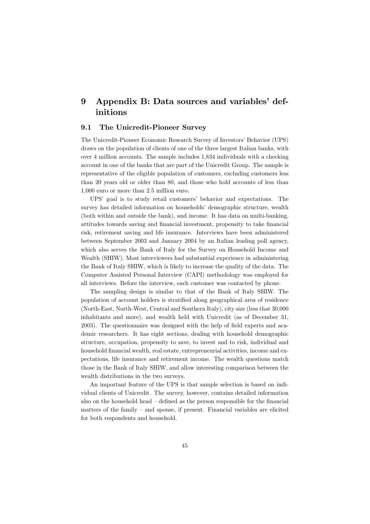### Appendix B: Data sources and variables' def-9 initions

#### $9.1$ The Unicredit-Pioneer Survey

The Unicredit-Pioneer Economic Research Survey of Investors' Behavior (UPS) draws on the population of clients of one of the three largest Italian banks, with over 4 million accounts. The sample includes 1,834 individuals with a checking account in one of the banks that are part of the Unicredit Group. The sample is representative of the eligible population of customers, excluding customers less than 20 years old or older than 80, and those who hold accounts of less than 1,000 euro or more than 2.5 million euro.

UPS' goal is to study retail customers' behavior and expectations. The survey has detailed information on households' demographic structure, wealth (both within and outside the bank), and income. It has data on multi-banking, attitudes towards saving and financial investment, propensity to take financial risk, retirement saving and life insurance. Interviews have been administered between September 2003 and January 2004 by an Italian leading poll agency, which also serves the Bank of Italy for the Survey on Household Income and Wealth (SHIW). Most interviewers had substantial experience in administering the Bank of Italy SHIW, which is likely to increase the quality of the data. The Computer Assisted Personal Interview (CAPI) methodology was employed for all interviews. Before the interview, each customer was contacted by phone.

The sampling design is similar to that of the Bank of Italy SHIW. The population of account holders is stratified along geographical area of residence (North-East, North-West, Central and Southern Italy), city size (less that 30,000 inhabitants and more), and wealth held with Unicredit (as of December 31, 2003). The questionnaire was designed with the help of field experts and academic researchers. It has eight sections, dealing with household demographic structure, occupation, propensity to save, to invest and to risk, individual and household financial wealth, real estate, entrepreneurial activities, income and expectations, life insurance and retirement income. The wealth questions match those in the Bank of Italy SHIW, and allow interesting comparison between the wealth distributions in the two surveys.

An important feature of the UPS is that sample selection is based on individual clients of Unicredit. The survey, however, contains detailed information also on the household head  $-$  defined as the person responsible for the financial matters of the family  $-$  and spouse, if present. Financial variables are elicited for both respondents and household.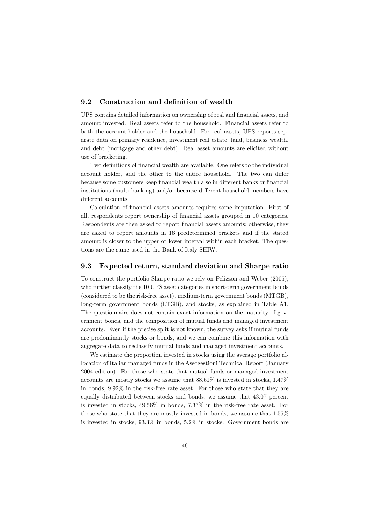#### 9.2 Construction and definition of wealth

UPS contains detailed information on ownership of real and financial assets, and amount invested. Real assets refer to the household. Financial assets refer to both the account holder and the household. For real assets, UPS reports separate data on primary residence, investment real estate, land, business wealth, and debt (mortgage and other debt). Real asset amounts are elicited without use of bracketing.

Two definitions of financial wealth are available. One refers to the individual account holder, and the other to the entire household. The two can differ because some customers keep financial wealth also in different banks or financial institutions (multi-banking) and/or because different household members have different accounts.

Calculation of financial assets amounts requires some imputation. First of all, respondents report ownership of financial assets grouped in 10 categories. Respondents are then asked to report financial assets amounts; otherwise, they are asked to report amounts in 16 predetermined brackets and if the stated amount is closer to the upper or lower interval within each bracket. The questions are the same used in the Bank of Italy SHIW.

#### Expected return, standard deviation and Sharpe ratio 9.3

To construct the portfolio Sharpe ratio we rely on Pelizzon and Weber (2005), who further classify the 10 UPS asset categories in short-term government bonds (considered to be the risk-free asset), medium-term government bonds (MTGB), long-term government bonds (LTGB), and stocks, as explained in Table A1. The questionnaire does not contain exact information on the maturity of government bonds, and the composition of mutual funds and managed investment accounts. Even if the precise split is not known, the survey asks if mutual funds are predominantly stocks or bonds, and we can combine this information with aggregate data to reclassify mutual funds and managed investment accounts.

We estimate the proportion invested in stocks using the average portfolio allocation of Italian managed funds in the Assogestioni Technical Report (January 2004 edition). For those who state that mutual funds or managed investment accounts are mostly stocks we assume that  $88.61\%$  is invested in stocks, 1.47% in bonds,  $9.92\%$  in the risk-free rate asset. For those who state that they are equally distributed between stocks and bonds, we assume that 43.07 percent is invested in stocks,  $49.56\%$  in bonds,  $7.37\%$  in the risk-free rate asset. For those who state that they are mostly invested in bonds, we assume that 1.55% is invested in stocks,  $93.3\%$  in bonds,  $5.2\%$  in stocks. Government bonds are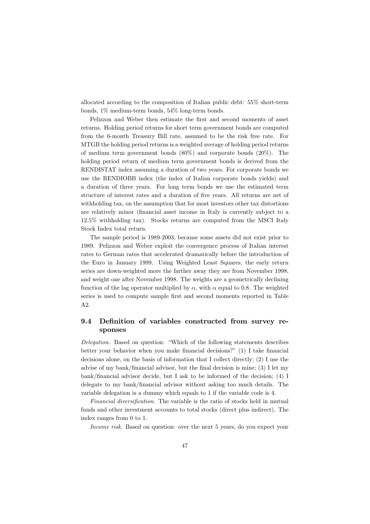allocated according to the composition of Italian public debt: 55% short-term bonds,  $1\%$  medium-term bonds,  $54\%$  long-term bonds.

Pelizzon and Weber then estimate the first and second moments of asset returns. Holding period returns for short term government bonds are computed from the 6-month Treasury Bill rate, assumed to be the risk free rate. For MTGB the holding period returns is a weighted average of holding period returns of medium term government bonds  $(80\%)$  and corporate bonds  $(20\%)$ . The holding period return of medium term government bonds is derived from the RENDISTAT index assuming a duration of two years. For corporate bonds we use the RENDIOBB index (the index of Italian corporate bonds vields) and a duration of three years. For long term bonds we use the estimated term structure of interest rates and a duration of five years. All returns are net of withholding tax, on the assumption that for most investors other tax distortions are relatively minor (financial asset income in Italy is currently subject to a 12.5% withholding tax). Stocks returns are computed from the MSCI Italy Stock Index total return.

The sample period is 1989-2003, because some assets did not exist prior to 1989. Pelizzon and Weber exploit the convergence process of Italian interest rates to German rates that accelerated dramatically before the introduction of the Euro in January 1999. Using Weighted Least Squares, the early return series are down-weighted more the farther away they are from November 1998. and weight one after November 1998. The weights are a geometrically declining function of the lag operator multiplied by  $\alpha$ , with  $\alpha$  equal to 0.8. The weighted series is used to compute sample first and second moments reported in Table  $A2.$ 

### $9.4$ Definition of variables constructed from survey responses

*Delegation.* Based on question: "Which of the following statements describes better your behavior when you make financial decisions?" (1) I take financial decisions alone, on the basis of information that I collect directly; (2) I use the advise of my bank/financial advisor, but the final decision is mine;  $(3)$  I let my bank/financial advisor decide, but I ask to be informed of the decision;  $(4)$  I delegate to my bank/financial advisor without asking too much details. The variable delegation is a dummy which equals to 1 if the variable code is 4.

Financial diversification. The variable is the ratio of stocks held in mutual funds and other investment accounts to total stocks (direct plus indirect). The index ranges from 0 to 1.

Income risk. Based on question: over the next 5 years, do you expect your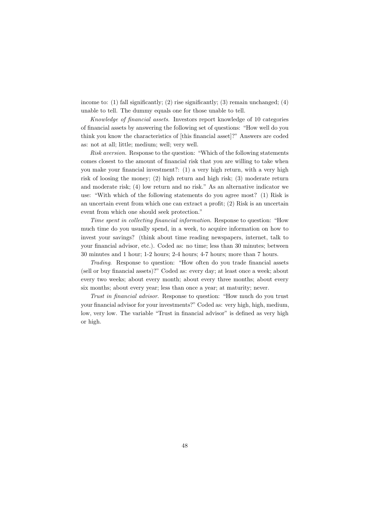income to: (1) fall significantly; (2) rise significantly; (3) remain unchanged; (4) unable to tell. The dummy equals one for those unable to tell.

Knowledge of financial assets. Investors report knowledge of 10 categories of financial assets by answering the following set of questions: "How well do you think you know the characteristics of [this financial asset]?" Answers are coded as: not at all; little; medium; well; very well.

Risk aversion. Response to the question: "Which of the following statements comes closest to the amount of financial risk that you are willing to take when you make your financial investment?: (1) a very high return, with a very high risk of loosing the money; (2) high return and high risk; (3) moderate return and moderate risk; (4) low return and no risk." As an alternative indicator we use: "With which of the following statements do you agree most? (1) Risk is an uncertain event from which one can extract a profit;  $(2)$  Risk is an uncertain event from which one should seek protection."

Time spent in collecting financial information. Response to question: "How much time do you usually spend, in a week, to acquire information on how to invest your savings? (think about time reading newspapers, internet, talk to your financial advisor, etc.). Coded as: no time; less than 30 minutes; between 30 minutes and 1 hour; 1-2 hours; 2-4 hours; 4-7 hours; more than 7 hours.

Trading. Response to question: "How often do you trade financial assets (sell or buy financial assets)?" Coded as: every day; at least once a week; about every two weeks; about every month; about every three months; about every six months; about every year; less than once a year; at maturity; never.

Trust in financial advisor. Response to question: "How much do you trust your financial advisor for your investments?" Coded as: very high, high, medium, low, very low. The variable "Trust in financial advisor" is defined as very high or high.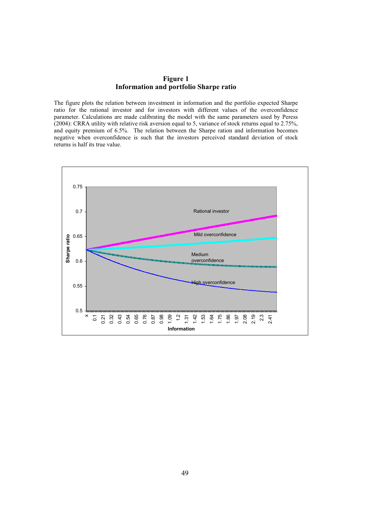### **Figure 1 Information and portfolio Sharpe ratio**

The figure plots the relation between investment in information and the portfolio expected Sharpe ratio for the rational investor and for investors with different values of the overconfidence parameter. Calculations are made calibrating the model with the same parameters used by Peress (2004): CRRA utility with relative risk aversion equal to 5, variance of stock returns equal to 2.75%, and equity premium of 6.5%. The relation between the Sharpe ration and information becomes negative when overconfidence is such that the investors perceived standard deviation of stock returns is half its true value.

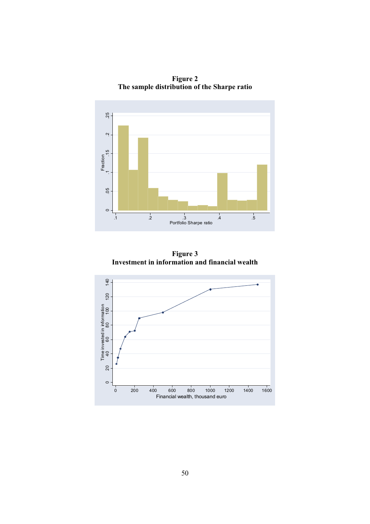

**Figure 2 The sample distribution of the Sharpe ratio** 

**Figure 3 Investment in information and financial wealth** 

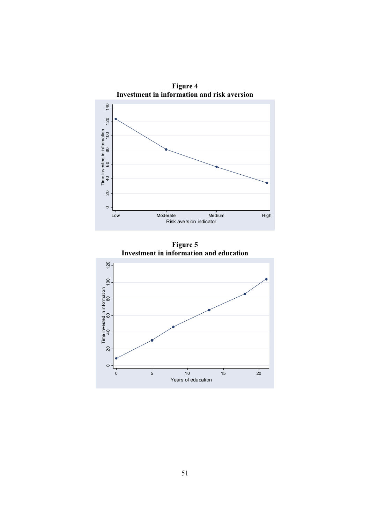

**Figure 5 Investment in information and education** 

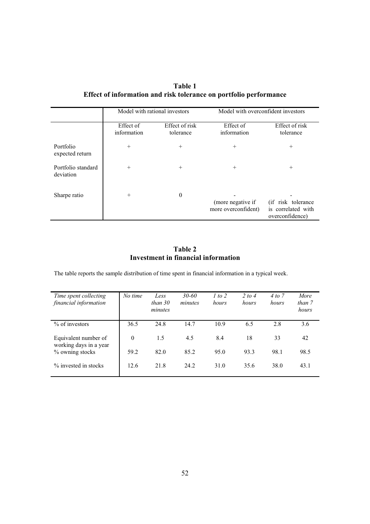**Table 1 Effect of information and risk tolerance on portfolio performance**

|                                 |                          | Model with rational investors |                                          | Model with overconfident investors                           |
|---------------------------------|--------------------------|-------------------------------|------------------------------------------|--------------------------------------------------------------|
|                                 | Effect of<br>information | Effect of risk<br>tolerance   | Effect of<br>information                 | Effect of risk<br>tolerance                                  |
| Portfolio<br>expected return    | $+$                      | $^{+}$                        | $^{+}$                                   | $^{+}$                                                       |
| Portfolio standard<br>deviation | $+$                      | $^{+}$                        | $^{+}$                                   | $^{+}$                                                       |
| Sharpe ratio                    | $^{+}$                   | $\boldsymbol{0}$              | (more negative if<br>more overconfident) | (if risk tolerance)<br>is correlated with<br>overconfidence) |

### **Table 2 Investment in financial information**

The table reports the sample distribution of time spent in financial information in a typical week.

| Time spent collecting<br>financial information | No time  | Less<br>than $30$<br>minutes | $30 - 60$<br>minutes | 1 to 2<br>hours | 2 to 4<br>hours | 4 to 7<br>hours | More<br>than 7<br>hours |
|------------------------------------------------|----------|------------------------------|----------------------|-----------------|-----------------|-----------------|-------------------------|
| $%$ of investors                               | 36.5     | 24.8                         | 14.7                 | 10.9            | 6.5             | 2.8             | 3.6                     |
| Equivalent number of<br>working days in a year | $\theta$ | 1.5                          | 4.5                  | 8.4             | 18              | 33              | 42                      |
| % owning stocks                                | 59.2     | 82.0                         | 85.2                 | 95.0            | 93.3            | 98.1            | 98.5                    |
| $\%$ invested in stocks                        | 12.6     | 21.8                         | 24.2                 | 31.0            | 35.6            | 38.0            | 43.1                    |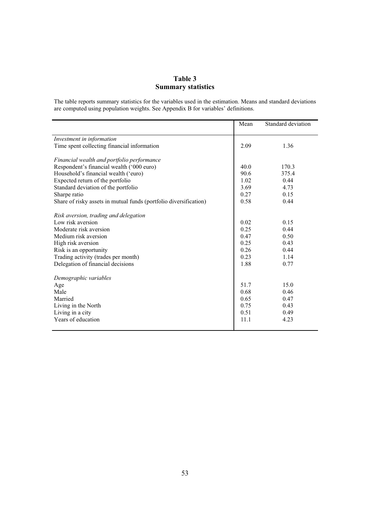# **Table 3 Summary statistics**

The table reports summary statistics for the variables used in the estimation. Means and standard deviations are computed using population weights. See Appendix B for variables' definitions.

|                                                                   | Mean | Standard deviation |
|-------------------------------------------------------------------|------|--------------------|
| Investment in information                                         |      |                    |
| Time spent collecting financial information                       | 2.09 | 1.36               |
| Financial wealth and portfolio performance                        |      |                    |
| Respondent's financial wealth ('000 euro)                         | 40.0 | 170.3              |
| Household's financial wealth ('euro)                              | 90.6 | 375.4              |
| Expected return of the portfolio                                  | 1.02 | 0.44               |
| Standard deviation of the portfolio                               | 3.69 | 4.73               |
| Sharpe ratio                                                      | 0.27 | 0.15               |
| Share of risky assets in mutual funds (portfolio diversification) | 0.58 | 0.44               |
| Risk aversion, trading and delegation                             |      |                    |
| Low risk aversion                                                 | 0.02 | 0.15               |
| Moderate risk aversion                                            | 0.25 | 0.44               |
| Medium risk aversion                                              | 0.47 | 0.50               |
| High risk aversion                                                | 0.25 | 0.43               |
| Risk is an opportunity                                            | 0.26 | 0.44               |
| Trading activity (trades per month)                               | 0.23 | 1.14               |
| Delegation of financial decisions                                 | 1.88 | 0.77               |
| Demographic variables                                             |      |                    |
| Age                                                               | 51.7 | 15.0               |
| Male                                                              | 0.68 | 0.46               |
| Married                                                           | 0.65 | 0.47               |
| Living in the North                                               | 0.75 | 0.43               |
| Living in a city                                                  | 0.51 | 0.49               |
| Years of education                                                | 11.1 | 4.23               |
|                                                                   |      |                    |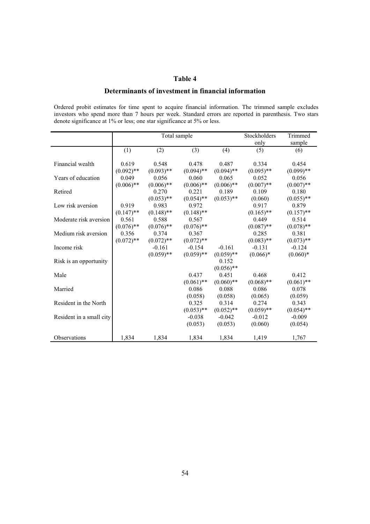### **Table 4**

### **Determinants of investment in financial information**

Ordered probit estimates for time spent to acquire financial information. The trimmed sample excludes investors who spend more than 7 hours per week. Standard errors are reported in parenthesis. Two stars denote significance at 1% or less; one star significance at 5% or less.

|                          |              | Total sample |              |              | Stockholders | Trimmed      |
|--------------------------|--------------|--------------|--------------|--------------|--------------|--------------|
|                          |              |              |              |              | only         | sample       |
|                          | (1)          | (2)          | (3)          | (4)          | (5)          | (6)          |
|                          |              |              |              |              |              |              |
| Financial wealth         | 0.619        | 0.548        | 0.478        | 0.487        | 0.334        | 0.454        |
|                          | $(0.092)$ ** | $(0.093)$ ** | $(0.094)$ ** | $(0.094)$ ** | $(0.095)$ ** | $(0.099)$ ** |
| Years of education       | 0.049        | 0.056        | 0.060        | 0.065        | 0.052        | 0.056        |
|                          | $(0.006)$ ** | $(0.006)$ ** | $(0.006)$ ** | $(0.006)$ ** | $(0.007)$ ** | $(0.007)$ ** |
| Retired                  |              | 0.270        | 0.221        | 0.189        | 0.109        | 0.180        |
|                          |              | $(0.053)$ ** | $(0.054)$ ** | $(0.053)$ ** | (0.060)      | $(0.055)$ ** |
| Low risk aversion        | 0.919        | 0.983        | 0.972        |              | 0.917        | 0.879        |
|                          | $(0.147)$ ** | $(0.148)$ ** | $(0.148)$ ** |              | $(0.165)$ ** | $(0.157)$ ** |
| Moderate risk aversion   | 0.561        | 0.588        | 0.567        |              | 0.449        | 0.514        |
|                          | $(0.076)$ ** | $(0.076)$ ** | $(0.076)$ ** |              | $(0.087)$ ** | $(0.078)$ ** |
| Medium risk aversion     | 0.356        | 0.374        | 0.367        |              | 0.285        | 0.381        |
|                          | $(0.072)$ ** | $(0.072)$ ** | $(0.072)$ ** |              | $(0.083)$ ** | $(0.073)$ ** |
| Income risk              |              | $-0.161$     | $-0.154$     | $-0.161$     | $-0.131$     | $-0.124$     |
|                          |              | $(0.059)$ ** | $(0.059)$ ** | $(0.059)$ ** | $(0.066)*$   | $(0.060)*$   |
| Risk is an opportunity   |              |              |              | 0.152        |              |              |
|                          |              |              |              | $(0.056)$ ** |              |              |
| Male                     |              |              | 0.437        | 0.451        | 0.468        | 0.412        |
|                          |              |              | $(0.061)$ ** | $(0.060)$ ** | $(0.068)$ ** | $(0.061)$ ** |
| Married                  |              |              | 0.086        | 0.088        | 0.086        | 0.078        |
|                          |              |              | (0.058)      | (0.058)      | (0.065)      | (0.059)      |
| Resident in the North    |              |              | 0.325        | 0.314        | 0.274        | 0.343        |
|                          |              |              | $(0.053)$ ** | $(0.052)$ ** | $(0.059)$ ** | $(0.054)$ ** |
| Resident in a small city |              |              | $-0.038$     | $-0.042$     | $-0.012$     | $-0.009$     |
|                          |              |              | (0.053)      | (0.053)      | (0.060)      | (0.054)      |
|                          |              |              |              |              |              |              |
| Observations             | 1,834        | 1,834        | 1,834        | 1,834        | 1,419        | 1,767        |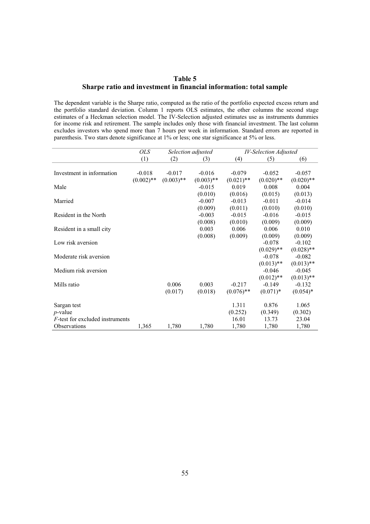### **Table 5 Sharpe ratio and investment in financial information: total sample**

The dependent variable is the Sharpe ratio, computed as the ratio of the portfolio expected excess return and the portfolio standard deviation. Column 1 reports OLS estimates, the other columns the second stage estimates of a Heckman selection model. The IV-Selection adjusted estimates use as instruments dummies for income risk and retirement. The sample includes only those with financial investment. The last column excludes investors who spend more than 7 hours per week in information. Standard errors are reported in parenthesis. Two stars denote significance at 1% or less; one star significance at 5% or less.

|                                         | <b>OLS</b>   |              | Selection adjusted | <b>IV-Selection Adjusted</b> |              |              |
|-----------------------------------------|--------------|--------------|--------------------|------------------------------|--------------|--------------|
|                                         | (1)          | (2)          | (3)                | (4)                          | (5)          | (6)          |
|                                         |              |              |                    |                              |              |              |
| Investment in information               | $-0.018$     | $-0.017$     | $-0.016$           | $-0.079$                     | $-0.052$     | $-0.057$     |
|                                         | $(0.002)$ ** | $(0.003)$ ** | $(0.003)$ **       | $(0.021)$ **                 | $(0.020)$ ** | $(0.020)$ ** |
| Male                                    |              |              | $-0.015$           | 0.019                        | 0.008        | 0.004        |
|                                         |              |              | (0.010)            | (0.016)                      | (0.015)      | (0.013)      |
| Married                                 |              |              | $-0.007$           | $-0.013$                     | $-0.011$     | $-0.014$     |
|                                         |              |              | (0.009)            | (0.011)                      | (0.010)      | (0.010)      |
| Resident in the North                   |              |              | $-0.003$           | $-0.015$                     | $-0.016$     | $-0.015$     |
|                                         |              |              | (0.008)            | (0.010)                      | (0.009)      | (0.009)      |
| Resident in a small city                |              |              | 0.003              | 0.006                        | 0.006        | 0.010        |
|                                         |              |              | (0.008)            | (0.009)                      | (0.009)      | (0.009)      |
| Low risk aversion                       |              |              |                    |                              | $-0.078$     | $-0.102$     |
|                                         |              |              |                    |                              | $(0.029)$ ** | $(0.028)$ ** |
| Moderate risk aversion                  |              |              |                    |                              | $-0.078$     | $-0.082$     |
|                                         |              |              |                    |                              | $(0.013)$ ** | $(0.013)$ ** |
| Medium risk aversion                    |              |              |                    |                              | $-0.046$     | $-0.045$     |
|                                         |              |              |                    |                              | $(0.012)$ ** | $(0.013)$ ** |
| Mills ratio                             |              | 0.006        | 0.003              | $-0.217$                     | $-0.149$     | $-0.132$     |
|                                         |              | (0.017)      | (0.018)            | $(0.076)$ **                 | $(0.071)^*$  | $(0.054)*$   |
|                                         |              |              |                    |                              |              |              |
| Sargan test                             |              |              |                    | 1.311                        | 0.876        | 1.065        |
| $p$ -value                              |              |              |                    | (0.252)                      | (0.349)      | (0.302)      |
| <i>F</i> -test for excluded instruments |              |              |                    | 16.01                        | 13.73        | 23.04        |
| Observations                            | 1,365        | 1,780        | 1,780              | 1,780                        | 1,780        | 1,780        |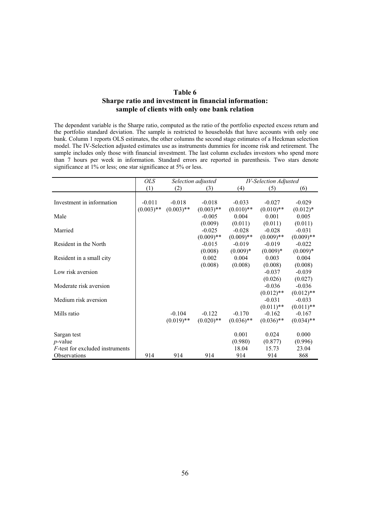### **Table 6 Sharpe ratio and investment in financial information: sample of clients with only one bank relation**

The dependent variable is the Sharpe ratio, computed as the ratio of the portfolio expected excess return and the portfolio standard deviation. The sample is restricted to households that have accounts with only one bank. Column 1 reports OLS estimates, the other columns the second stage estimates of a Heckman selection model. The IV-Selection adjusted estimates use as instruments dummies for income risk and retirement. The sample includes only those with financial investment. The last column excludes investors who spend more than 7 hours per week in information. Standard errors are reported in parenthesis. Two stars denote significance at 1% or less; one star significance at 5% or less.

|                                         | <i>OLS</i>   | Selection adjusted |              | IV-Selection Adjusted |              |              |
|-----------------------------------------|--------------|--------------------|--------------|-----------------------|--------------|--------------|
|                                         | (1)          | (2)                | (3)          | (4)                   | (5)          | (6)          |
|                                         |              |                    |              |                       |              |              |
| Investment in information               | $-0.011$     | $-0.018$           | $-0.018$     | $-0.033$              | $-0.027$     | $-0.029$     |
|                                         | $(0.003)$ ** | $(0.003)$ **       | $(0.003)$ ** | $(0.010)$ **          | $(0.010)$ ** | $(0.012)*$   |
| Male                                    |              |                    | $-0.005$     | 0.004                 | 0.001        | 0.005        |
|                                         |              |                    | (0.009)      | (0.011)               | (0.011)      | (0.011)      |
| Married                                 |              |                    | $-0.025$     | $-0.028$              | $-0.028$     | $-0.031$     |
|                                         |              |                    | $(0.009)$ ** | $(0.009)$ **          | $(0.009)$ ** | $(0.009)$ ** |
| Resident in the North                   |              |                    | $-0.015$     | $-0.019$              | $-0.019$     | $-0.022$     |
|                                         |              |                    | (0.008)      | $(0.009)*$            | $(0.009)*$   | $(0.009)*$   |
| Resident in a small city                |              |                    | 0.002        | 0.004                 | 0.003        | 0.004        |
|                                         |              |                    | (0.008)      | (0.008)               | (0.008)      | (0.008)      |
| Low risk aversion                       |              |                    |              |                       | $-0.037$     | $-0.039$     |
|                                         |              |                    |              |                       | (0.026)      | (0.027)      |
| Moderate risk aversion                  |              |                    |              |                       | $-0.036$     | $-0.036$     |
|                                         |              |                    |              |                       | $(0.012)$ ** | $(0.012)$ ** |
| Medium risk aversion                    |              |                    |              |                       | $-0.031$     | $-0.033$     |
|                                         |              |                    |              |                       | $(0.011)$ ** | $(0.011)$ ** |
| Mills ratio                             |              | $-0.104$           | $-0.122$     | $-0.170$              | $-0.162$     | $-0.167$     |
|                                         |              | $(0.019)$ **       | $(0.020)$ ** | $(0.036)$ **          | $(0.036)$ ** | $(0.034)$ ** |
|                                         |              |                    |              |                       |              |              |
| Sargan test                             |              |                    |              | 0.001                 | 0.024        | 0.000        |
| $p$ -value                              |              |                    |              | (0.980)               | (0.877)      | (0.996)      |
| <i>F</i> -test for excluded instruments |              |                    |              | 18.04                 | 15.73        | 23.04        |
| Observations                            | 914          | 914                | 914          | 914                   | 914          | 868          |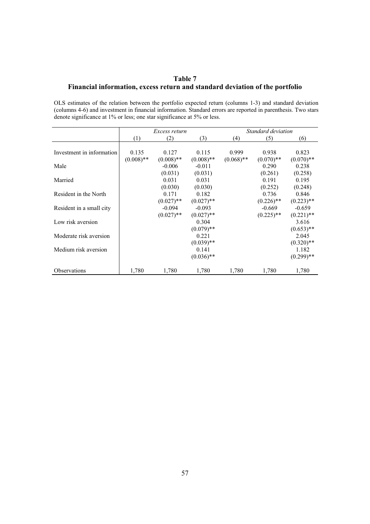# **Table 7 Financial information, excess return and standard deviation of the portfolio**

OLS estimates of the relation between the portfolio expected return (columns 1-3) and standard deviation (columns 4-6) and investment in financial information. Standard errors are reported in parenthesis. Two stars denote significance at 1% or less; one star significance at 5% or less.

|                           | Excess return |              |              |              | Standard deviation |                         |
|---------------------------|---------------|--------------|--------------|--------------|--------------------|-------------------------|
|                           | (1)           | (2)          | (3)          | (4)          | (5)                | (6)                     |
|                           |               |              |              |              |                    |                         |
| Investment in information | 0.135         | 0.127        | 0.115        | 0.999        | 0.938              | 0.823                   |
|                           | $(0.008)$ **  | $(0.008)$ ** | $(0.008)$ ** | $(0.068)$ ** | $(0.070)$ **       | $(0.070)$ **            |
| Male                      |               | $-0.006$     | $-0.011$     |              | 0.290              | 0.238                   |
|                           |               | (0.031)      | (0.031)      |              | (0.261)            | (0.258)                 |
| Married                   |               | 0.031        | 0.031        |              | 0.191              | 0.195                   |
|                           |               | (0.030)      | (0.030)      |              | (0.252)            | (0.248)                 |
| Resident in the North     |               | 0.171        | 0.182        |              | 0.736              | 0.846                   |
|                           |               | $(0.027)$ ** | $(0.027)$ ** |              | $(0.226)$ **       | $(0.223)$ **            |
| Resident in a small city  |               | -0.094       | $-0.093$     |              | -0.669             | $-0.659$                |
|                           |               | $(0.027)$ ** | $(0.027)$ ** |              | $(0.225)$ **       | $(0.221)$ <sup>**</sup> |
| Low risk aversion         |               |              | 0.304        |              |                    | 3.616                   |
|                           |               |              | $(0.079)$ ** |              |                    | $(0.653)$ **            |
| Moderate risk aversion    |               |              | 0.221        |              |                    | 2.045                   |
|                           |               |              | $(0.039)$ ** |              |                    | $(0.320)$ **            |
| Medium risk aversion      |               |              | 0.141        |              |                    | 1.182                   |
|                           |               |              | $(0.036)$ ** |              |                    | $(0.299)$ **            |
| Observations              | 1,780         | 1,780        | 1,780        | 1,780        | 1,780              | 1,780                   |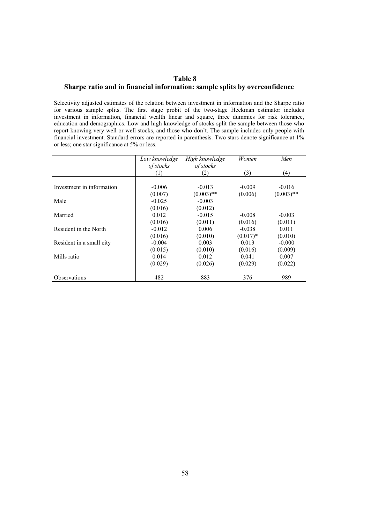### **Table 8 Sharpe ratio and in financial information: sample splits by overconfidence**

Selectivity adjusted estimates of the relation between investment in information and the Sharpe ratio for various sample splits. The first stage probit of the two-stage Heckman estimator includes investment in information, financial wealth linear and square, three dummies for risk tolerance, education and demographics. Low and high knowledge of stocks split the sample between those who report knowing very well or well stocks, and those who don't. The sample includes only people with financial investment. Standard errors are reported in parenthesis. Two stars denote significance at 1% or less; one star significance at 5% or less.

|                           | Low knowledge | High knowledge | Women      | Men          |
|---------------------------|---------------|----------------|------------|--------------|
|                           | of stocks     | of stocks      |            |              |
|                           | (1)           | (2)            | (3)        | (4)          |
|                           |               |                |            |              |
| Investment in information | $-0.006$      | $-0.013$       | $-0.009$   | $-0.016$     |
|                           | (0.007)       | $(0.003)$ **   | (0.006)    | $(0.003)$ ** |
| Male                      | $-0.025$      | $-0.003$       |            |              |
|                           | (0.016)       | (0.012)        |            |              |
| Married                   | 0.012         | $-0.015$       | $-0.008$   | $-0.003$     |
|                           | (0.016)       | (0.011)        | (0.016)    | (0.011)      |
| Resident in the North     | $-0.012$      | 0.006          | $-0.038$   | 0.011        |
|                           | (0.016)       | (0.010)        | $(0.017)*$ | (0.010)      |
| Resident in a small city  | $-0.004$      | 0.003          | 0.013      | $-0.000$     |
|                           | (0.015)       | (0.010)        | (0.016)    | (0.009)      |
| Mills ratio               | 0.014         | 0.012          | 0.041      | 0.007        |
|                           | (0.029)       | (0.026)        | (0.029)    | (0.022)      |
| <b>Observations</b>       | 482           | 883            | 376        | 989          |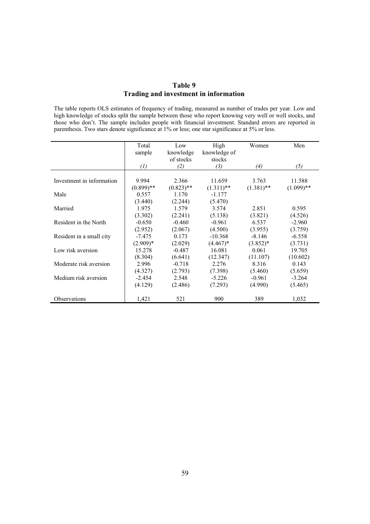# **Table 9 Trading and investment in information**

The table reports OLS estimates of frequency of trading, measured as number of trades per year. Low and high knowledge of stocks split the sample between those who report knowing very well or well stocks, and those who don't. The sample includes people with financial investment. Standard errors are reported in parenthesis. Two stars denote significance at 1% or less; one star significance at 5% or less.

|                           | Total             | Low          | High         | Women        | Men          |
|---------------------------|-------------------|--------------|--------------|--------------|--------------|
|                           | sample            | knowledge    | knowledge of |              |              |
|                           |                   | of stocks    | stocks       |              |              |
|                           | $\left( l\right)$ | (2)          | (3)          | (4)          | (5)          |
|                           |                   |              |              |              |              |
| Investment in information | 9.994             | 2.366        | 11.659       | 3.763        | 11.588       |
|                           | $(0.899)$ **      | $(0.823)$ ** | $(1.311)$ ** | $(1.381)$ ** | $(1.099)$ ** |
| Male                      | 0.557             | 1.170        | $-1.177$     |              |              |
|                           | (3.440)           | (2.244)      | (5.470)      |              |              |
| Married                   | 1.975             | 1.579        | 3.574        | 2.851        | 0.595        |
|                           | (3.302)           | (2.241)      | (5.138)      | (3.821)      | (4.526)      |
| Resident in the North     | $-0.650$          | $-0.460$     | $-0.961$     | 6.537        | $-2.960$     |
|                           | (2.952)           | (2.067)      | (4.500)      | (3.955)      | (3.759)      |
| Resident in a small city  | $-7.475$          | 0.173        | $-10.368$    | $-8.146$     | $-6.558$     |
|                           | $(2.909)*$        | (2.029)      | $(4.467)^*$  | $(3.852)*$   | (3.731)      |
| Low risk aversion         | 15.278            | $-0.487$     | 16.081       | 0.061        | 19.705       |
|                           | (8.304)           | (6.641)      | (12.347)     | (11.107)     | (10.602)     |
| Moderate risk aversion    | 2.996             | $-0.718$     | 2.276        | 8.316        | 0.143        |
|                           | (4.327)           | (2.793)      | (7.398)      | (5.460)      | (5.659)      |
| Medium risk aversion      | $-2.454$          | 2.548        | $-5.226$     | $-0.961$     | $-3.264$     |
|                           | (4.129)           | (2.486)      | (7.293)      | (4.990)      | (5.465)      |
|                           |                   |              |              |              |              |
| <b>Observations</b>       | 1,421             | 521          | 900          | 389          | 1,032        |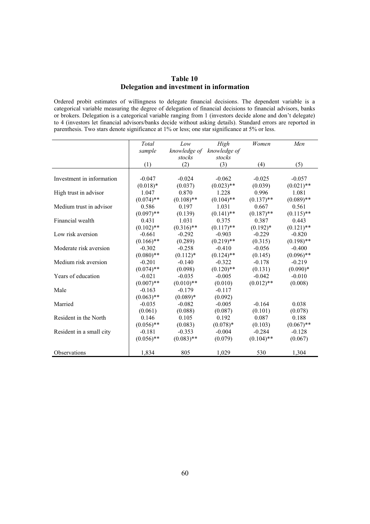### **Table 10 Delegation and investment in information**

Ordered probit estimates of willingness to delegate financial decisions. The dependent variable is a categorical variable measuring the degree of delegation of financial decisions to financial advisors, banks or brokers. Delegation is a categorical variable ranging from 1 (investors decide alone and don't delegate) to 4 (investors let financial advisors/banks decide without asking details). Standard errors are reported in parenthesis. Two stars denote significance at 1% or less; one star significance at 5% or less.

|                           | Total        | Low          | High         | Women        | Men          |
|---------------------------|--------------|--------------|--------------|--------------|--------------|
|                           | sample       | knowledge of | knowledge of |              |              |
|                           |              | stocks       | stocks       |              |              |
|                           | (1)          | (2)          | (3)          | (4)          | (5)          |
|                           |              |              |              |              |              |
| Investment in information | $-0.047$     | $-0.024$     | $-0.062$     | $-0.025$     | $-0.057$     |
|                           | $(0.018)*$   | (0.037)      | $(0.023)$ ** | (0.039)      | $(0.021)$ ** |
| High trust in advisor     | 1.047        | 0.870        | 1.228        | 0.996        | 1.081        |
|                           | $(0.074)$ ** | $(0.108)$ ** | $(0.104)$ ** | $(0.137)$ ** | $(0.089)$ ** |
| Medium trust in advisor   | 0.586        | 0.197        | 1.031        | 0.667        | 0.561        |
|                           | $(0.097)$ ** | (0.139)      | $(0.141)$ ** | $(0.187)$ ** | $(0.115)$ ** |
| Financial wealth          | 0.431        | 1.031        | 0.375        | 0.387        | 0.443        |
|                           | $(0.102)$ ** | $(0.316)$ ** | $(0.117)$ ** | $(0.192)*$   | $(0.121)$ ** |
| Low risk aversion         | $-0.661$     | $-0.292$     | $-0.903$     | $-0.229$     | $-0.820$     |
|                           | $(0.166)$ ** | (0.289)      | $(0.219)$ ** | (0.315)      | $(0.198)$ ** |
| Moderate risk aversion    | $-0.302$     | $-0.258$     | $-0.410$     | $-0.056$     | $-0.400$     |
|                           | $(0.080)$ ** | $(0.112)*$   | $(0.124)$ ** | (0.145)      | $(0.096)$ ** |
| Medium risk aversion      | $-0.201$     | $-0.140$     | $-0.322$     | $-0.178$     | $-0.219$     |
|                           | $(0.074)$ ** | (0.098)      | $(0.120)$ ** | (0.131)      | $(0.090)*$   |
| Years of education        | $-0.021$     | $-0.035$     | $-0.005$     | $-0.042$     | $-0.010$     |
|                           | $(0.007)$ ** | $(0.010)**$  | (0.010)      | $(0.012)$ ** | (0.008)      |
| Male                      | $-0.163$     | $-0.179$     | $-0.117$     |              |              |
|                           | $(0.063)$ ** | $(0.089)*$   | (0.092)      |              |              |
| Married                   | $-0.035$     | $-0.082$     | $-0.005$     | $-0.164$     | 0.038        |
|                           | (0.061)      | (0.088)      | (0.087)      | (0.101)      | (0.078)      |
| Resident in the North     | 0.146        | 0.105        | 0.192        | 0.087        | 0.188        |
|                           | $(0.056)$ ** | (0.083)      | $(0.078)*$   | (0.103)      | $(0.067)$ ** |
| Resident in a small city  | $-0.181$     | $-0.353$     | $-0.004$     | $-0.284$     | $-0.128$     |
|                           | $(0.056)$ ** | $(0.083)$ ** | (0.079)      | $(0.104)$ ** | (0.067)      |
| Observations              | 1,834        | 805          | 1,029        | 530          | 1,304        |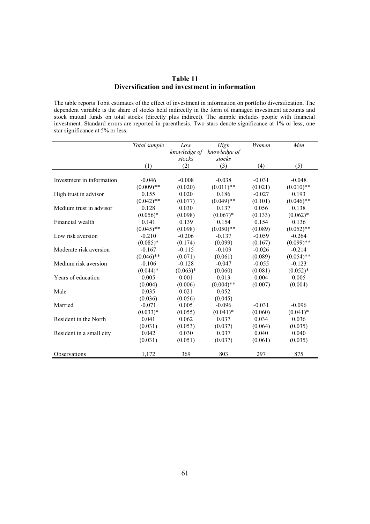### **Table 11 Diversification and investment in information**

The table reports Tobit estimates of the effect of investment in information on portfolio diversification. The dependent variable is the share of stocks held indirectly in the form of managed investment accounts and stock mutual funds on total stocks (directly plus indirect). The sample includes people with financial investment. Standard errors are reported in parenthesis. Two stars denote significance at 1% or less; one star significance at 5% or less.

|                           | Total sample | Low          | High         | Women    | Men          |
|---------------------------|--------------|--------------|--------------|----------|--------------|
|                           |              | knowledge of | knowledge of |          |              |
|                           |              | stocks       | stocks       |          |              |
|                           | (1)          | (2)          | (3)          | (4)      | (5)          |
|                           |              |              |              |          |              |
| Investment in information | $-0.046$     | $-0.008$     | $-0.038$     | $-0.031$ | $-0.048$     |
|                           | $(0.009)$ ** | (0.020)      | $(0.011)$ ** | (0.021)  | $(0.010)$ ** |
| High trust in advisor     | 0.155        | 0.020        | 0.186        | $-0.027$ | 0.193        |
|                           | $(0.042)$ ** | (0.077)      | $(0.049)$ ** | (0.101)  | $(0.046)$ ** |
| Medium trust in advisor   | 0.128        | 0.030        | 0.137        | 0.056    | 0.138        |
|                           | $(0.056)*$   | (0.098)      | $(0.067)*$   | (0.133)  | $(0.062)*$   |
| Financial wealth          | 0.141        | 0.139        | 0.154        | 0.154    | 0.136        |
|                           | $(0.045)$ ** | (0.098)      | $(0.050)$ ** | (0.089)  | $(0.052)$ ** |
| Low risk aversion         | $-0.210$     | $-0.206$     | $-0.137$     | $-0.059$ | $-0.264$     |
|                           | $(0.085)*$   | (0.174)      | (0.099)      | (0.167)  | $(0.099)$ ** |
| Moderate risk aversion    | $-0.167$     | $-0.115$     | $-0.109$     | $-0.026$ | $-0.214$     |
|                           | $(0.046)$ ** | (0.071)      | (0.061)      | (0.089)  | $(0.054)$ ** |
| Medium risk aversion      | $-0.106$     | $-0.128$     | $-0.047$     | $-0.055$ | $-0.123$     |
|                           | $(0.044)*$   | $(0.063)*$   | (0.060)      | (0.081)  | $(0.052)*$   |
| Years of education        | 0.005        | 0.001        | 0.013        | 0.004    | 0.005        |
|                           | (0.004)      | (0.006)      | $(0.004)$ ** | (0.007)  | (0.004)      |
| Male                      | 0.035        | 0.021        | 0.052        |          |              |
|                           | (0.036)      | (0.056)      | (0.045)      |          |              |
| Married                   | $-0.071$     | 0.005        | $-0.096$     | $-0.031$ | $-0.096$     |
|                           | $(0.033)*$   | (0.055)      | $(0.041)^*$  | (0.060)  | $(0.041)^*$  |
| Resident in the North     | 0.041        | 0.062        | 0.037        | 0.034    | 0.036        |
|                           | (0.031)      | (0.053)      | (0.037)      | (0.064)  | (0.035)      |
| Resident in a small city  | 0.042        | 0.030        | 0.037        | 0.040    | 0.040        |
|                           | (0.031)      | (0.051)      | (0.037)      | (0.061)  | (0.035)      |
| Observations              | 1,172        | 369          | 803          | 297      | 875          |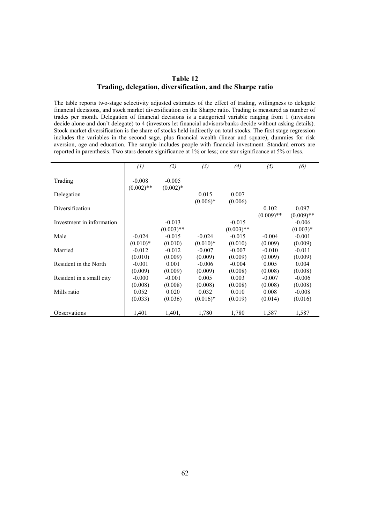### **Table 12 Trading, delegation, diversification, and the Sharpe ratio**

The table reports two-stage selectivity adjusted estimates of the effect of trading, willingness to delegate financial decisions, and stock market diversification on the Sharpe ratio. Trading is measured as number of trades per month. Delegation of financial decisions is a categorical variable ranging from 1 (investors decide alone and don't delegate) to 4 (investors let financial advisors/banks decide without asking details). Stock market diversification is the share of stocks held indirectly on total stocks. The first stage regression includes the variables in the second sage, plus financial wealth (linear and square), dummies for risk aversion, age and education. The sample includes people with financial investment. Standard errors are reported in parenthesis. Two stars denote significance at 1% or less; one star significance at 5% or less.

|                           | (1)                      | (2)                      | (3)                    | (4)                      | (5)                   | (6)                    |
|---------------------------|--------------------------|--------------------------|------------------------|--------------------------|-----------------------|------------------------|
| Trading                   | $-0.008$<br>$(0.002)$ ** | $-0.005$<br>$(0.002)*$   |                        |                          |                       |                        |
| Delegation                |                          |                          | 0.015                  | 0.007                    |                       |                        |
| Diversification           |                          |                          | $(0.006)*$             | (0.006)                  | 0.102<br>$(0.009)$ ** | 0.097<br>$(0.009)$ **  |
| Investment in information |                          | $-0.013$<br>$(0.003)$ ** |                        | $-0.015$<br>$(0.003)$ ** |                       | $-0.006$<br>$(0.003)*$ |
| Male                      | $-0.024$<br>$(0.010)*$   | $-0.015$<br>(0.010)      | $-0.024$<br>$(0.010)*$ | $-0.015$<br>(0.010)      | $-0.004$<br>(0.009)   | $-0.001$<br>(0.009)    |
| Married                   | $-0.012$<br>(0.010)      | $-0.012$<br>(0.009)      | $-0.007$               | $-0.007$<br>(0.009)      | $-0.010$<br>(0.009)   | $-0.011$<br>(0.009)    |
| Resident in the North     | $-0.001$                 | 0.001                    | (0.009)<br>$-0.006$    | $-0.004$                 | 0.005                 | 0.004                  |
| Resident in a small city  | (0.009)<br>$-0.000$      | (0.009)<br>$-0.001$      | (0.009)<br>0.005       | (0.008)<br>0.003         | (0.008)<br>$-0.007$   | (0.008)<br>$-0.006$    |
| Mills ratio               | (0.008)<br>0.052         | (0.008)<br>0.020         | (0.008)<br>0.032       | (0.008)<br>0.010         | (0.008)<br>0.008      | (0.008)<br>$-0.008$    |
|                           | (0.033)                  | (0.036)                  | $(0.016)^*$            | (0.019)                  | (0.014)               | (0.016)                |
| Observations              | 1,401                    | 1,401,                   | 1,780                  | 1,780                    | 1,587                 | 1,587                  |